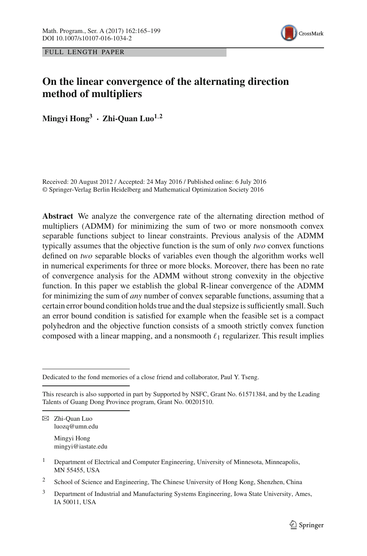

FULL LENGTH PAPER

# **On the linear convergence of the alternating direction method of multipliers**

**Mingvi Hong<sup>3</sup> <b>· Zhi-Quan Luo**<sup>1,2</sup>

Received: 20 August 2012 / Accepted: 24 May 2016 / Published online: 6 July 2016 © Springer-Verlag Berlin Heidelberg and Mathematical Optimization Society 2016

**Abstract** We analyze the convergence rate of the alternating direction method of multipliers (ADMM) for minimizing the sum of two or more nonsmooth convex separable functions subject to linear constraints. Previous analysis of the ADMM typically assumes that the objective function is the sum of only *two* convex functions defined on *two* separable blocks of variables even though the algorithm works well in numerical experiments for three or more blocks. Moreover, there has been no rate of convergence analysis for the ADMM without strong convexity in the objective function. In this paper we establish the global R-linear convergence of the ADMM for minimizing the sum of *any* number of convex separable functions, assuming that a certain error bound condition holds true and the dual stepsize is sufficiently small. Such an error bound condition is satisfied for example when the feasible set is a compact polyhedron and the objective function consists of a smooth strictly convex function composed with a linear mapping, and a nonsmooth  $\ell_1$  regularizer. This result implies

Mingyi Hong mingyi@iastate.edu

Dedicated to the fond memories of a close friend and collaborator, Paul Y. Tseng.

This research is also supported in part by Supported by NSFC, Grant No. 61571384, and by the Leading Talents of Guang Dong Province program, Grant No. 00201510.

B Zhi-Quan Luo luozq@umn.edu

<sup>&</sup>lt;sup>1</sup> Department of Electrical and Computer Engineering, University of Minnesota, Minneapolis, MN 55455, USA

<sup>2</sup> School of Science and Engineering, The Chinese University of Hong Kong, Shenzhen, China

 $3$  Department of Industrial and Manufacturing Systems Engineering, Iowa State University, Ames, IA 50011, USA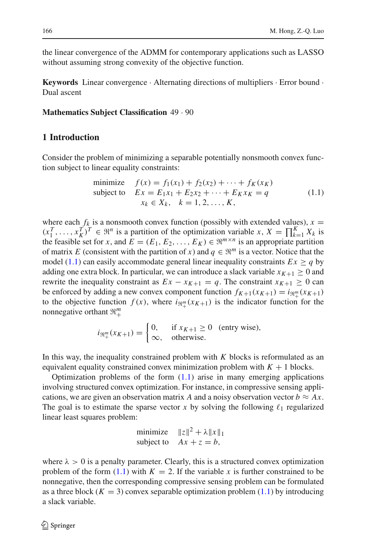the linear convergence of the ADMM for contemporary applications such as LASSO without assuming strong convexity of the objective function.

**Keywords** Linear convergence · Alternating directions of multipliers · Error bound · Dual ascent

## **Mathematics Subject Classification** 49 · 90

# **1 Introduction**

Consider the problem of minimizing a separable potentially nonsmooth convex function subject to linear equality constraints:

minimize 
$$
f(x) = f_1(x_1) + f_2(x_2) + \cdots + f_K(x_K)
$$
  
\nsubject to  $Ex = E_1x_1 + E_2x_2 + \cdots + E_Kx_K = q$   
\n $x_k \in X_k, \quad k = 1, 2, ..., K,$  (1.1)

<span id="page-1-0"></span>where each  $f_k$  is a nonsmooth convex function (possibly with extended values),  $x =$  $(x_1^T, \ldots, x_K^T)^T \in \mathbb{R}^n$  is a partition of the optimization variable *x*,  $X = \prod_{k=1}^K X_k$  is the feasible set for *x*, and  $E = (E_1, E_2, \ldots, E_K) \in \mathbb{R}^{m \times n}$  is an appropriate partition of matrix *E* (consistent with the partition of *x*) and  $q \in \mathbb{R}^m$  is a vector. Notice that the model [\(1.1\)](#page-1-0) can easily accommodate general linear inequality constraints  $Ex \geq q$  by adding one extra block. In particular, we can introduce a slack variable  $x_{K+1} \geq 0$  and rewrite the inequality constraint as  $Ex - x_{K+1} = q$ . The constraint  $x_{K+1} \ge 0$  can be enforced by adding a new convex component function  $f_{K+1}(x_{K+1}) = i_{\mathfrak{R}_+^m}(x_{K+1})$ to the objective function  $f(x)$ , where  $i_{\Re_{+}^{m}}(x_{K+1})$  is the indicator function for the nonnegative orthant *<sup>m</sup>* +

$$
i_{\mathfrak{R}^m_+}(x_{K+1}) = \begin{cases} 0, & \text{if } x_{K+1} \ge 0 \text{ (entry wise)},\\ \infty, & \text{otherwise.} \end{cases}
$$

In this way, the inequality constrained problem with *K* blocks is reformulated as an equivalent equality constrained convex minimization problem with  $K + 1$  blocks.

Optimization problems of the form  $(1.1)$  arise in many emerging applications involving structured convex optimization. For instance, in compressive sensing applications, we are given an observation matrix *A* and a noisy observation vector  $b \approx Ax$ . The goal is to estimate the sparse vector  $x$  by solving the following  $\ell_1$  regularized linear least squares problem:

minimize 
$$
||z||^2 + \lambda ||x||_1
$$
  
subject to  $Ax + z = b$ ,

where  $\lambda > 0$  is a penalty parameter. Clearly, this is a structured convex optimization problem of the form  $(1.1)$  with  $K = 2$ . If the variable x is further constrained to be nonnegative, then the corresponding compressive sensing problem can be formulated as a three block  $(K = 3)$  convex separable optimization problem  $(1.1)$  by introducing a slack variable.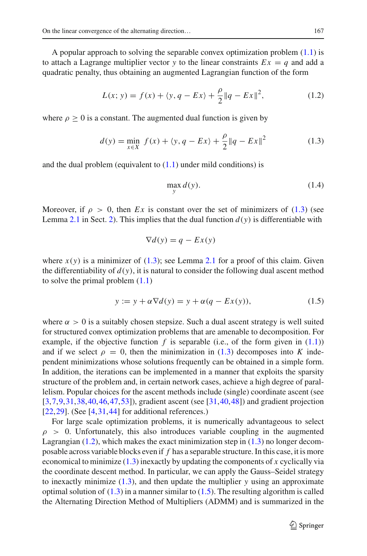A popular approach to solving the separable convex optimization problem  $(1.1)$  is to attach a Lagrange multiplier vector *y* to the linear constraints  $Ex = q$  and add a quadratic penalty, thus obtaining an augmented Lagrangian function of the form

$$
L(x; y) = f(x) + \langle y, q - Ex \rangle + \frac{\rho}{2} ||q - Ex||^2,
$$
 (1.2)

<span id="page-2-1"></span><span id="page-2-0"></span>where  $\rho > 0$  is a constant. The augmented dual function is given by

<span id="page-2-3"></span>
$$
d(y) = \min_{x \in X} f(x) + \langle y, q - Ex \rangle + \frac{\rho}{2} \| q - Ex \|^2 \tag{1.3}
$$

and the dual problem (equivalent to  $(1.1)$  under mild conditions) is

$$
\max_{y} d(y). \tag{1.4}
$$

Moreover, if  $\rho > 0$ , then *Ex* is constant over the set of minimizers of [\(1.3\)](#page-2-0) (see Lemma [2.1](#page-6-0) in Sect. [2\)](#page-4-0). This implies that the dual function  $d(y)$  is differentiable with

$$
\nabla d(y) = q - Ex(y)
$$

where  $x(y)$  is a minimizer of [\(1.3\)](#page-2-0); see Lemma [2.1](#page-6-0) for a proof of this claim. Given the differentiability of  $d(y)$ , it is natural to consider the following dual ascent method to solve the primal problem [\(1.1\)](#page-1-0)

$$
y := y + \alpha \nabla d(y) = y + \alpha (q - Ex(y)), \tag{1.5}
$$

<span id="page-2-2"></span>where  $\alpha > 0$  is a suitably chosen stepsize. Such a dual ascent strategy is well suited for structured convex optimization problems that are amenable to decomposition. For example, if the objective function  $f$  is separable (i.e., of the form given in  $(1.1)$ ) and if we select  $\rho = 0$ , then the minimization in [\(1.3\)](#page-2-0) decomposes into *K* independent minimizations whose solutions frequently can be obtained in a simple form. In addition, the iterations can be implemented in a manner that exploits the sparsity structure of the problem and, in certain network cases, achieve a high degree of parallelism. Popular choices for the ascent methods include (single) coordinate ascent (see [\[3](#page-32-0)[,7](#page-32-1),[9,](#page-32-2)[31](#page-33-0)[,38](#page-33-1)[,40](#page-33-2)[,46](#page-34-0),[47,](#page-34-1)[53\]](#page-34-2)), gradient ascent (see [\[31](#page-33-0),[40,](#page-33-2)[48\]](#page-34-3)) and gradient projection  $[22,29]$  $[22,29]$  $[22,29]$ . (See  $[4,31,44]$  $[4,31,44]$  $[4,31,44]$  $[4,31,44]$  $[4,31,44]$  for additional references.)

For large scale optimization problems, it is numerically advantageous to select  $\rho > 0$ . Unfortunately, this also introduces variable coupling in the augmented Lagrangian  $(1.2)$ , which makes the exact minimization step in  $(1.3)$  no longer decomposable across variable blocks even if *f* has a separable structure. In this case, it is more economical to minimize [\(1.3\)](#page-2-0) inexactly by updating the components of *x* cyclically via the coordinate descent method. In particular, we can apply the Gauss–Seidel strategy to inexactly minimize [\(1.3\)](#page-2-0), and then update the multiplier *y* using an approximate optimal solution of  $(1.3)$  in a manner similar to  $(1.5)$ . The resulting algorithm is called the Alternating Direction Method of Multipliers (ADMM) and is summarized in the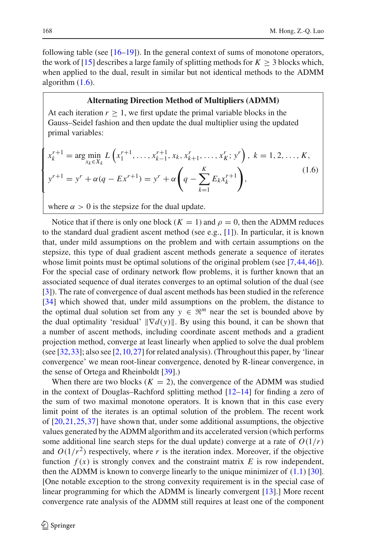following table (see [\[16](#page-33-5)[–19\]](#page-33-6)). In the general context of sums of monotone operators, the work of [\[15\]](#page-33-7) describes a large family of splitting methods for  $K > 3$  blocks which, when applied to the dual, result in similar but not identical methods to the ADMM algorithm  $(1.6)$ .

## **Alternating Direction Method of Multipliers (ADMM)**

At each iteration  $r \geq 1$ , we first update the primal variable blocks in the Gauss–Seidel fashion and then update the dual multiplier using the updated primal variables:

<span id="page-3-0"></span>
$$
\begin{cases} x_k^{r+1} = \arg\min_{x_k \in X_k} L\left(x_1^{r+1}, \dots, x_{k-1}^{r+1}, x_k, x_{k+1}^r, \dots, x_K^r; y^r\right), \ k = 1, 2, \dots, K, \\ y^{r+1} = y^r + \alpha(q - Ex^{r+1}) = y^r + \alpha\left(q - \sum_{k=1}^K E_k x_k^{r+1}\right), \end{cases} \tag{1.6}
$$

where  $\alpha > 0$  is the stepsize for the dual update.

Notice that if there is only one block ( $K = 1$ ) and  $\rho = 0$ , then the ADMM reduces to the standard dual gradient ascent method (see e.g., [\[1\]](#page-32-4)). In particular, it is known that, under mild assumptions on the problem and with certain assumptions on the stepsize, this type of dual gradient ascent methods generate a sequence of iterates whose limit points must be optimal solutions of the original problem (see [\[7](#page-32-1),[44,](#page-34-4)[46\]](#page-34-0)). For the special case of ordinary network flow problems, it is further known that an associated sequence of dual iterates converges to an optimal solution of the dual (see [\[3](#page-32-0)]). The rate of convergence of dual ascent methods has been studied in the reference [\[34](#page-33-8)] which showed that, under mild assumptions on the problem, the distance to the optimal dual solution set from any  $y \in \mathbb{R}^m$  near the set is bounded above by the dual optimality 'residual'  $\|\nabla d(y)\|$ . By using this bound, it can be shown that a number of ascent methods, including coordinate ascent methods and a gradient projection method, converge at least linearly when applied to solve the dual problem (see [\[32,](#page-33-9)[33\]](#page-33-10); also see [\[2](#page-32-5)[,10](#page-32-6),[27\]](#page-33-11) for related analysis). (Throughout this paper, by 'linear convergence' we mean root-linear convergence, denoted by R-linear convergence, in the sense of Ortega and Rheinboldt [\[39\]](#page-33-12).)

When there are two blocks  $(K = 2)$ , the convergence of the ADMM was studied in the context of Douglas–Rachford splitting method [\[12](#page-32-7)[–14](#page-32-8)] for finding a zero of the sum of two maximal monotone operators. It is known that in this case every limit point of the iterates is an optimal solution of the problem. The recent work of [\[20](#page-33-13)[,21](#page-33-14),[25,](#page-33-15)[37\]](#page-33-16) have shown that, under some additional assumptions, the objective values generated by the ADMM algorithm and its accelerated version (which performs some additional line search steps for the dual update) converge at a rate of  $O(1/r)$ and  $O(1/r^2)$  respectively, where r is the iteration index. Moreover, if the objective function  $f(x)$  is strongly convex and the constraint matrix  $E$  is row independent, then the ADMM is known to converge linearly to the unique minimizer of  $(1.1)$  [\[30](#page-33-17)]. [One notable exception to the strong convexity requirement is in the special case of linear programming for which the ADMM is linearly convergent [\[13](#page-32-9)].] More recent convergence rate analysis of the ADMM still requires at least one of the component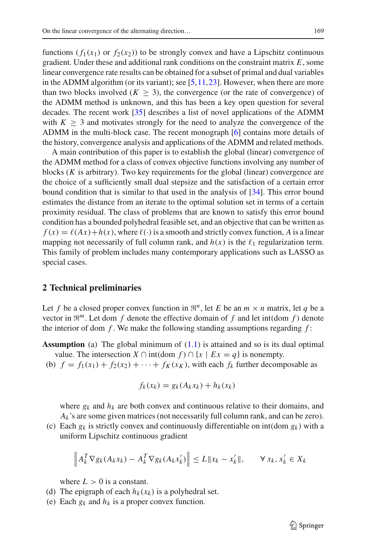functions  $(f_1(x_1)$  or  $f_2(x_2)$ ) to be strongly convex and have a Lipschitz continuous gradient. Under these and additional rank conditions on the constraint matrix *E*, some linear convergence rate results can be obtained for a subset of primal and dual variables in the ADMM algorithm (or its variant); see  $[5,11,23]$  $[5,11,23]$  $[5,11,23]$  $[5,11,23]$ . However, when there are more than two blocks involved  $(K \geq 3)$ , the convergence (or the rate of convergence) of the ADMM method is unknown, and this has been a key open question for several decades. The recent work [\[35](#page-33-19)] describes a list of novel applications of the ADMM with  $K \geq 3$  and motivates strongly for the need to analyze the convergence of the ADMM in the multi-block case. The recent monograph [\[6](#page-32-12)] contains more details of the history, convergence analysis and applications of the ADMM and related methods.

A main contribution of this paper is to establish the global (linear) convergence of the ADMM method for a class of convex objective functions involving any number of blocks (*K* is arbitrary). Two key requirements for the global (linear) convergence are the choice of a sufficiently small dual stepsize and the satisfaction of a certain error bound condition that is similar to that used in the analysis of [\[34\]](#page-33-8). This error bound estimates the distance from an iterate to the optimal solution set in terms of a certain proximity residual. The class of problems that are known to satisfy this error bound condition has a bounded polyhedral feasible set, and an objective that can be written as  $f(x) = \ell(Ax) + h(x)$ , where  $\ell(\cdot)$  is a smooth and strictly convex function, *A* is a linear mapping not necessarily of full column rank, and  $h(x)$  is the  $\ell_1$  regularization term. This family of problem includes many contemporary applications such as LASSO as special cases.

## <span id="page-4-0"></span>**2 Technical preliminaries**

Let *f* be a closed proper convex function in  $\mathbb{R}^n$ , let *E* be an  $m \times n$  matrix, let *q* be a vector in  $\mathbb{R}^m$ . Let dom *f* denote the effective domain of *f* and let int(dom *f*) denote the interior of dom  $f$ . We make the following standing assumptions regarding  $f$ :

- **Assumption** (a) The global minimum of  $(1.1)$  is attained and so is its dual optimal value. The intersection *X* ∩ int(dom *f*) ∩ {*x* | *Ex* = *q*} is nonempty.
- (b)  $f = f_1(x_1) + f_2(x_2) + \cdots + f_K(x_K)$ , with each  $f_k$  further decomposable as

$$
f_k(x_k) = g_k(A_k x_k) + h_k(x_k)
$$

where  $g_k$  and  $h_k$  are both convex and continuous relative to their domains, and  $A_k$ 's are some given matrices (not necessarily full column rank, and can be zero).

(c) Each  $g_k$  is strictly convex and continuously differentiable on int(dom  $g_k$ ) with a uniform Lipschitz continuous gradient

$$
\left\|A_k^T \nabla g_k(A_k x_k) - A_k^T \nabla g_k(A_k x'_k)\right\| \le L \|x_k - x'_k\|, \qquad \forall \, x_k, x'_k \in X_k
$$

where  $L > 0$  is a constant.

- (d) The epigraph of each  $h_k(x_k)$  is a polyhedral set.
- (e) Each  $g_k$  and  $h_k$  is a proper convex function.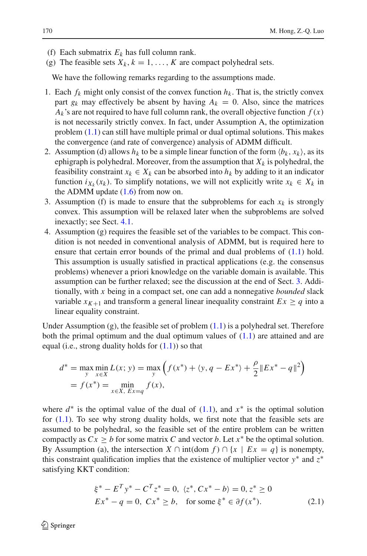- (f) Each submatrix  $E_k$  has full column rank.
- (g) The feasible sets  $X_k$ ,  $k = 1, \ldots, K$  are compact polyhedral sets.

We have the following remarks regarding to the assumptions made.

- 1. Each  $f_k$  might only consist of the convex function  $h_k$ . That is, the strictly convex part  $g_k$  may effectively be absent by having  $A_k = 0$ . Also, since the matrices  $A_k$ 's are not required to have full column rank, the overall objective function  $f(x)$ is not necessarily strictly convex. In fact, under Assumption A, the optimization problem [\(1.1\)](#page-1-0) can still have multiple primal or dual optimal solutions. This makes the convergence (and rate of convergence) analysis of ADMM difficult.
- 2. Assumption (d) allows  $h_k$  to be a simple linear function of the form  $\langle b_k, x_k \rangle$ , as its ephigraph is polyhedral. Moreover, from the assumption that  $X_k$  is polyhedral, the feasibility constraint  $x_k \in X_k$  can be absorbed into  $h_k$  by adding to it an indicator function  $i_{X_k}(x_k)$ . To simplify notations, we will not explicitly write  $x_k \in X_k$  in the ADMM update  $(1.6)$  from now on.
- 3. Assumption (f) is made to ensure that the subproblems for each  $x_k$  is strongly convex. This assumption will be relaxed later when the subproblems are solved inexactly; see Sect. [4.1.](#page-22-0)
- 4. Assumption (g) requires the feasible set of the variables to be compact. This condition is not needed in conventional analysis of ADMM, but is required here to ensure that certain error bounds of the primal and dual problems of [\(1.1\)](#page-1-0) hold. This assumption is usually satisfied in practical applications (e.g. the consensus problems) whenever a priori knowledge on the variable domain is available. This assumption can be further relaxed; see the discussion at the end of Sect. [3.](#page-13-0) Additionally, with *x* being in a compact set, one can add a nonnegative *bounded* slack variable  $x_{K+1}$  and transform a general linear inequality constraint  $Ex \geq q$  into a linear equality constraint.

Under Assumption (g), the feasible set of problem  $(1.1)$  is a polyhedral set. Therefore both the primal optimum and the dual optimum values of  $(1.1)$  are attained and are equal (i.e., strong duality holds for  $(1.1)$ ) so that

$$
d^* = \max_{y} \min_{x \in X} L(x; y) = \max_{y} \left( f(x^*) + \langle y, q - Ex^* \rangle + \frac{\rho}{2} ||Ex^* - q||^2 \right)
$$
  
=  $f(x^*) = \min_{x \in X, Ex = q} f(x),$ 

where  $d^*$  is the optimal value of the dual of  $(1.1)$ , and  $x^*$  is the optimal solution for [\(1.1\)](#page-1-0). To see why strong duality holds, we first note that the feasible sets are assumed to be polyhedral, so the feasible set of the entire problem can be written compactly as  $Cx \geq b$  for some matrix *C* and vector *b*. Let  $x^*$  be the optimal solution. By Assumption (a), the intersection  $X \cap \text{int}(\text{dom } f) \cap \{x \mid Ex = q\}$  is nonempty, this constraint qualification implies that the existence of multiplier vector *y*∗ and *z*∗ satisfying KKT condition:

$$
\xi^* - E^T y^* - C^T z^* = 0, \ \langle z^*, C x^* - b \rangle = 0, z^* \ge 0
$$
  

$$
E x^* - q = 0, \ C x^* \ge b, \quad \text{for some } \xi^* \in \partial f(x^*).
$$
 (2.1)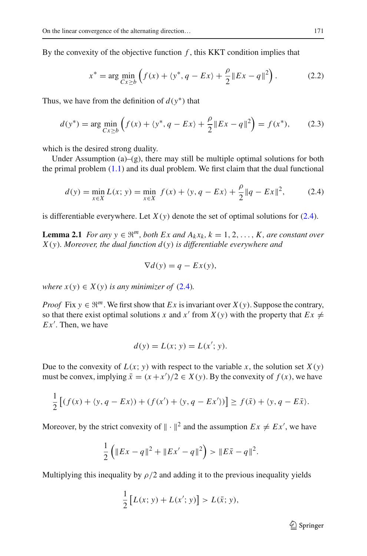By the convexity of the objective function  $f$ , this KKT condition implies that

$$
x^* = \arg\min_{Cx \ge b} \left( f(x) + \langle y^*, q - Ex \rangle + \frac{\rho}{2} \| Ex - q \|^2 \right). \tag{2.2}
$$

Thus, we have from the definition of  $d(y^*)$  that

$$
d(y^*) = \arg\min_{Cx \ge b} \left( f(x) + \langle y^*, q - Ex \rangle + \frac{\rho}{2} \| Ex - q \|^2 \right) = f(x^*), \tag{2.3}
$$

which is the desired strong duality.

Under Assumption  $(a)$ – $(g)$ , there may still be multiple optimal solutions for both the primal problem [\(1.1\)](#page-1-0) and its dual problem. We first claim that the dual functional

$$
d(y) = \min_{x \in X} L(x; y) = \min_{x \in X} f(x) + \langle y, q - Ex \rangle + \frac{\rho}{2} \| q - Ex \|^2,
$$
 (2.4)

<span id="page-6-1"></span><span id="page-6-0"></span>is differentiable everywhere. Let  $X(y)$  denote the set of optimal solutions for  $(2.4)$ .

**Lemma 2.1** *For any y*  $\in \mathbb{R}^m$ , *both*  $Ex$  *and*  $A_kx_k$ ,  $k = 1, 2, ..., K$ , *are constant over X*(*y*)*. Moreover, the dual function d*(*y*) *is differentiable everywhere and*

$$
\nabla d(y) = q - Ex(y),
$$

*where*  $x(y) \in X(y)$  *is any minimizer of* [\(2.4\)](#page-6-1)*.* 

*Proof* Fix  $y \in \mathbb{R}^m$ . We first show that *Ex* is invariant over  $X(y)$ . Suppose the contrary, so that there exist optimal solutions *x* and *x'* from *X*(*y*) with the property that  $Ex \neq$ *Ex* . Then, we have

$$
d(y) = L(x; y) = L(x'; y).
$$

Due to the convexity of  $L(x; y)$  with respect to the variable x, the solution set  $X(y)$ must be convex, implying  $\bar{x} = (x + x')/2 \in X(y)$ . By the convexity of  $f(x)$ , we have

$$
\frac{1}{2}\left[(f(x) + \langle y, q - Ex \rangle) + (f(x') + \langle y, q - Ex' \rangle)\right] \ge f(\bar{x}) + \langle y, q - E\bar{x} \rangle.
$$

Moreover, by the strict convexity of  $\| \cdot \|^2$  and the assumption  $Ex \neq Ex'$ , we have

$$
\frac{1}{2}\left(\|Ex - q\|^2 + \|Ex' - q\|^2\right) > \|E\bar{x} - q\|^2.
$$

Multiplying this inequality by  $\rho/2$  and adding it to the previous inequality yields

$$
\frac{1}{2}[L(x; y) + L(x'; y)] > L(\bar{x}; y),
$$

 $\mathcal{D}$  Springer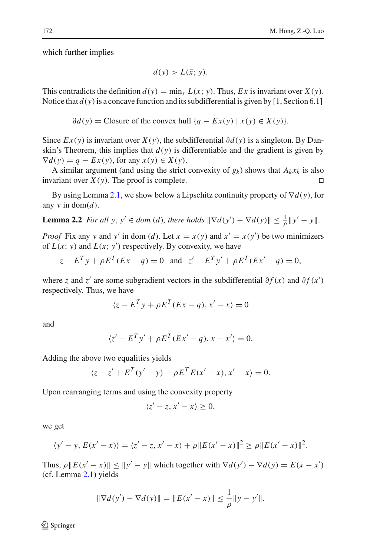which further implies

$$
d(y) > L(\bar{x}; y).
$$

This contradicts the definition  $d(y) = \min_x L(x; y)$ . Thus, Ex is invariant over  $X(y)$ . Notice that  $d(y)$  is a concave function and its subdifferential is given by [\[1](#page-32-4), Section 6.1]

 $\partial d(y) =$  Closure of the convex hull  $\{q - Ex(y) \mid x(y) \in X(y)\}.$ 

Since  $Ex(y)$  is invariant over  $X(y)$ , the subdifferential  $\partial d(y)$  is a singleton. By Danskin's Theorem, this implies that  $d(y)$  is differentiable and the gradient is given by  $\nabla d(y) = q - Ex(y)$ , for any  $x(y) \in X(y)$ .

A similar argument (and using the strict convexity of  $g_k$ ) shows that  $A_k x_k$  is also invariant over  $X(y)$ . The proof is complete.

<span id="page-7-0"></span>By using Lemma [2.1,](#page-6-0) we show below a Lipschitz continuity property of ∇*d*(*y*), for any  $y$  in dom( $d$ ).

**Lemma 2.2** *For all y, y'*  $\in$  *dom* (*d*)*, there holds*  $\|\nabla d(y') - \nabla d(y)\| \le \frac{1}{\rho} \|y' - y\|$ .

*Proof* Fix any *y* and *y'* in dom (*d*). Let  $x = x(y)$  and  $x' = x(y')$  be two minimizers of  $L(x; y)$  and  $L(x; y')$  respectively. By convexity, we have

$$
z - E^{T} y + \rho E^{T} (Ex - q) = 0
$$
 and  $z' - E^{T} y' + \rho E^{T} (Ex' - q) = 0$ ,

where *z* and *z'* are some subgradient vectors in the subdifferential  $\partial f(x)$  and  $\partial f(x')$ respectively. Thus, we have

$$
\langle z - E^T y + \rho E^T (Ex - q), x' - x \rangle = 0
$$

and

$$
\langle z' - E^T y' + \rho E^T (Ex' - q), x - x' \rangle = 0.
$$

Adding the above two equalities yields

$$
\langle z - z' + E^T(y' - y) - \rho E^T E(x' - x), x' - x \rangle = 0.
$$

Upon rearranging terms and using the convexity property

$$
\langle z'-z, x'-x\rangle \geq 0,
$$

we get

$$
\langle y'-y, E(x'-x) \rangle = \langle z'-z, x'-x \rangle + \rho \| E(x'-x) \|^2 \ge \rho \| E(x'-x) \|^2.
$$

Thus,  $\rho ||E(x'-x)|| \le ||y'-y||$  which together with  $\nabla d(y') - \nabla d(y) = E(x-x')$ (cf. Lemma [2.1\)](#page-6-0) yields

$$
\|\nabla d(y') - \nabla d(y)\| = \|E(x' - x)\| \le \frac{1}{\rho} \|y - y'\|.
$$

 $\circled{2}$  Springer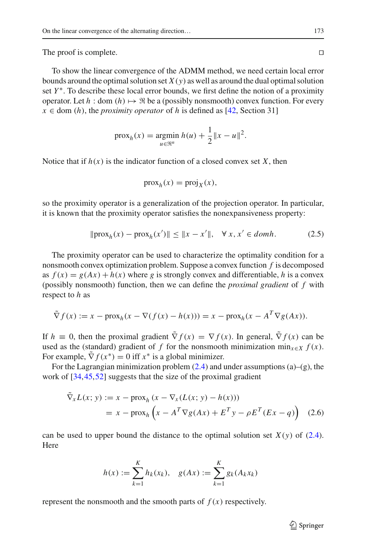The proof is complete.

To show the linear convergence of the ADMM method, we need certain local error bounds around the optimal solution set  $X(y)$  as well as around the dual optimal solution set *Y*<sup>\*</sup>. To describe these local error bounds, we first define the notion of a proximity operator. Let  $h : dom(h) \mapsto \Re$  be a (possibly nonsmooth) convex function. For every  $x \in$  dom (*h*), the *proximity operator* of *h* is defined as [\[42,](#page-33-20) Section 31]

$$
\text{prox}_{h}(x) = \underset{u \in \mathfrak{R}^{n}}{\text{argmin}} \; h(u) + \frac{1}{2} \|x - u\|^{2}.
$$

Notice that if  $h(x)$  is the indicator function of a closed convex set X, then

$$
\operatorname{prox}_h(x) = \operatorname{proj}_X(x),
$$

so the proximity operator is a generalization of the projection operator. In particular, it is known that the proximity operator satisfies the nonexpansiveness property:

$$
\|\text{prox}_{h}(x) - \text{prox}_{h}(x')\| \le \|x - x'\|, \quad \forall \, x, x' \in domh. \tag{2.5}
$$

<span id="page-8-1"></span>The proximity operator can be used to characterize the optimality condition for a nonsmooth convex optimization problem. Suppose a convex function *f* is decomposed as  $f(x) = g(Ax) + h(x)$  where *g* is strongly convex and differentiable, *h* is a convex (possibly nonsmooth) function, then we can define the *proximal gradient* of *f* with respect to *h* as

$$
\tilde{\nabla} f(x) := x - \text{prox}_h(x - \nabla(f(x) - h(x))) = x - \text{prox}_h(x - A^T \nabla g(Ax)).
$$

If  $h \equiv 0$ , then the proximal gradient  $\tilde{\nabla} f(x) = \nabla f(x)$ . In general,  $\tilde{\nabla} f(x)$  can be used as the (standard) gradient of *f* for the nonsmooth minimization min<sub> $x \in X$ </sub>  $f(x)$ . For example,  $\tilde{\nabla} f(x^*) = 0$  iff  $x^*$  is a global minimizer.

<span id="page-8-0"></span>For the Lagrangian minimization problem  $(2.4)$  and under assumptions  $(a)$ – $(g)$ , the work of [\[34,](#page-33-8)[45](#page-34-5)[,52](#page-34-6)] suggests that the size of the proximal gradient

$$
\nabla_x L(x; y) := x - \text{prox}_h (x - \nabla_x (L(x; y) - h(x)))
$$
  
=  $x - \text{prox}_h \left( x - A^T \nabla g(Ax) + E^T y - \rho E^T (Ex - q) \right)$  (2.6)

can be used to upper bound the distance to the optimal solution set  $X(y)$  of [\(2.4\)](#page-6-1). Here

$$
h(x) := \sum_{k=1}^{K} h_k(x_k), \quad g(Ax) := \sum_{k=1}^{K} g_k(A_k x_k)
$$

represent the nonsmooth and the smooth parts of  $f(x)$  respectively.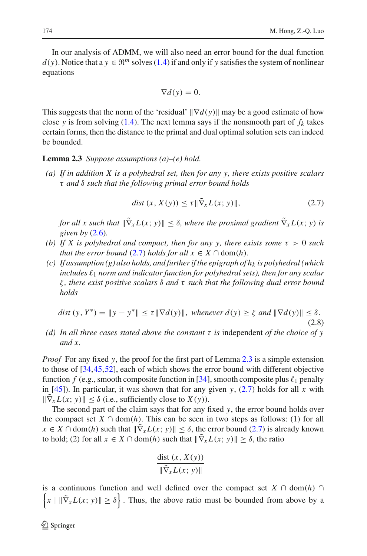In our analysis of ADMM, we will also need an error bound for the dual function  $d(y)$ . Notice that a  $y \in \mathbb{R}^m$  solves [\(1.4\)](#page-2-3) if and only if y satisfies the system of nonlinear equations

$$
\nabla d(y) = 0.
$$

This suggests that the norm of the 'residual'  $\|\nabla d(y)\|$  may be a good estimate of how close *y* is from solving [\(1.4\)](#page-2-3). The next lemma says if the nonsmooth part of  $f_k$  takes certain forms, then the distance to the primal and dual optimal solution sets can indeed be bounded.

#### <span id="page-9-1"></span>**Lemma 2.3** *Suppose assumptions (a)–(e) hold.*

*(a) If in addition X is a polyhedral set, then for any y, there exists positive scalars* τ *and* δ *such that the following primal error bound holds*

$$
dist(x, X(y)) \le \tau \|\tilde{\nabla}_x L(x; y)\|,\tag{2.7}
$$

<span id="page-9-0"></span>*for all x such that*  $\|\nabla_x L(x; y)\| \leq \delta$ , where the proximal gradient  $\tilde{\nabla}_x L(x; y)$  is *given by* [\(2.6\)](#page-8-0)*.*

- *(b)* If X is polyhedral and compact, then for any y, there exists some  $\tau > 0$  such *that the error bound* [\(2.7\)](#page-9-0) *holds for all*  $x \in X \cap \text{dom}(h)$ *.*
- $(c)$  If assumption  $(g)$  also holds, and further if the epigraph of  $h_k$  is polyhedral (which includes  $\ell_1$  norm and indicator function for polyhedral sets), then for any scalar ζ *, there exist positive scalars* δ *and* τ *such that the following dual error bound holds*

$$
dist(y, Y^*) = \|y - y^*\| \le \tau \|\nabla d(y)\|, \text{ whenever } d(y) \ge \zeta \text{ and } \|\nabla d(y)\| \le \delta.
$$
\n
$$
(2.8)
$$

<span id="page-9-2"></span>*(d) In all three cases stated above the constant* τ *is* independent *of the choice of y and x.*

*Proof* For any fixed *y*, the proof for the first part of Lemma [2.3](#page-9-1) is a simple extension to those of [\[34](#page-33-8)[,45](#page-34-5),[52\]](#page-34-6), each of which shows the error bound with different objective function  $f$  (e.g., smooth composite function in [\[34](#page-33-8)], smooth composite plus  $\ell_1$  penalty in  $[45]$  $[45]$ ). In particular, it was shown that for any given *y*,  $(2.7)$  holds for all *x* with  $\|\nabla_x L(x; y)\| \leq \delta$  (i.e., sufficiently close to  $X(y)$ ).

The second part of the claim says that for any fixed *y*, the error bound holds over the compact set  $X \cap \text{dom}(h)$ . This can be seen in two steps as follows: (1) for all  $x \in X \cap \text{dom}(h)$  such that  $\|\nabla_x L(x; y)\| \leq \delta$ , the error bound [\(2.7\)](#page-9-0) is already known to hold; (2) for all  $x \in X \cap \text{dom}(h)$  such that  $\|\tilde{\nabla}_x L(x; y)\| \ge \delta$ , the ratio

$$
\frac{\text{dist}(x, X(y))}{\|\tilde{\nabla}_x L(x; y)\|}
$$

is a continuous function and well defined over the compact set  $X \cap \text{dom}(h) \cap$  $\left\{ x \mid \|\tilde{\nabla}_x L(x; y)\| \ge \delta \right\}$ . Thus, the above ratio must be bounded from above by a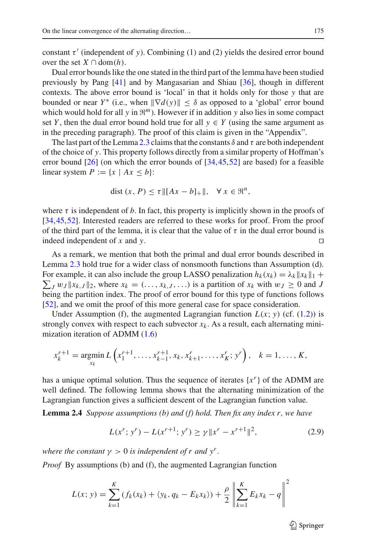constant  $\tau'$  (independent of *y*). Combining (1) and (2) yields the desired error bound over the set  $X \cap \text{dom}(h)$ .

Dual error bounds like the one stated in the third part of the lemma have been studied previously by Pang [\[41\]](#page-33-21) and by Mangasarian and Shiau [\[36\]](#page-33-22), though in different contexts. The above error bound is 'local' in that it holds only for those *y* that are bounded or near *Y*<sup>\*</sup> (i.e., when  $\|\nabla d(y)\| \le \delta$  as opposed to a 'global' error bound which would hold for all  $y$  in  $\mathfrak{R}^m$ ). However if in addition  $y$  also lies in some compact set *Y*, then the dual error bound hold true for all  $y \in Y$  (using the same argument as in the preceding paragraph). The proof of this claim is given in the "Appendix".

The last part of the Lemma [2.3](#page-9-1) claims that the constants  $\delta$  and  $\tau$  are both independent of the choice of *y*. This property follows directly from a similar property of Hoffman's error bound  $[26]$  $[26]$  (on which the error bounds of  $[34,45,52]$  $[34,45,52]$  $[34,45,52]$  $[34,45,52]$  are based) for a feasible linear system  $P := \{x \mid Ax \leq b\}$ :

$$
\text{dist}\,(x,\,P)\leq \tau \|[Ax-b]_+\|,\quad \forall\,x\in\mathfrak{R}^n,
$$

where  $\tau$  is independent of *b*. In fact, this property is implicitly shown in the proofs of [\[34](#page-33-8)[,45](#page-34-5),[52](#page-34-6)]. Interested readers are referred to these works for proof. From the proof of the third part of the lemma, it is clear that the value of  $\tau$  in the dual error bound is indeed independent of *x* and *y*.

As a remark, we mention that both the primal and dual error bounds described in Lemma [2.3](#page-9-1) hold true for a wider class of nonsmooth functions than Assumption (d). For example, it can also include the group LASSO penalization  $h_k(x_k) = \lambda_k ||x_k||_1 +$  $\sum_{J} w_J ||x_{k,J}||_2$ , where  $x_k = (\ldots, x_{k,J}, \ldots)$  is a partition of  $x_k$  with  $w_J \ge 0$  and *J* being the partition index. The proof of error bound for this type of functions follows [\[52](#page-34-6)], and we omit the proof of this more general case for space consideration.

Under Assumption (f), the augmented Lagrangian function  $L(x; y)$  (cf. [\(1.2\)](#page-2-1)) is strongly convex with respect to each subvector  $x_k$ . As a result, each alternating minimization iteration of ADMM [\(1.6\)](#page-3-0)

$$
x_k^{r+1} = \underset{x_k}{\text{argmin}} L\left(x_1^{r+1}, \dots, x_{k-1}^{r+1}, x_k, x_{k+1}^r, \dots, x_K^r; y^r\right), \quad k = 1, \dots, K,
$$

has a unique optimal solution. Thus the sequence of iterates  $\{x^r\}$  of the ADMM are well defined. The following lemma shows that the alternating minimization of the Lagrangian function gives a sufficient descent of the Lagrangian function value.

<span id="page-10-1"></span>**Lemma 2.4** *Suppose assumptions (b) and (f) hold. Then fix any index r, we have*

<span id="page-10-0"></span>
$$
L(x^r; y^r) - L(x^{r+1}; y^r) \ge \gamma \|x^r - x^{r+1}\|^2,\tag{2.9}
$$

*where the constant*  $\gamma > 0$  *is independent of r and*  $y^r$ .

*Proof* By assumptions (b) and (f), the augmented Lagrangian function

$$
L(x; y) = \sum_{k=1}^{K} (f_k(x_k) + \langle y_k, q_k - E_k x_k \rangle) + \frac{\rho}{2} \left\| \sum_{k=1}^{K} E_k x_k - q \right\|^2
$$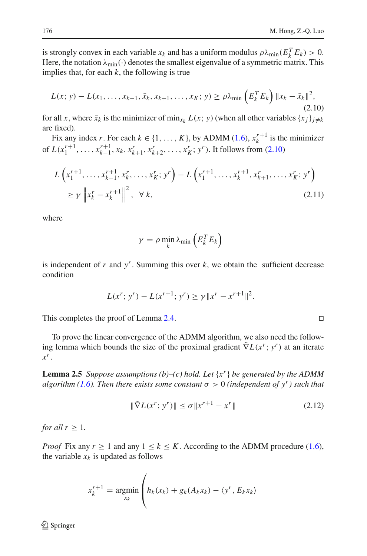is strongly convex in each variable  $x_k$  and has a uniform modulus  $\rho \lambda_{\min}(E_k^T E_k) > 0$ . Here, the notation  $\lambda_{\min}(\cdot)$  denotes the smallest eigenvalue of a symmetric matrix. This implies that, for each  $k$ , the following is true

$$
L(x; y) - L(x_1, \dots, x_{k-1}, \bar{x}_k, x_{k+1}, \dots, x_K; y) \ge \rho \lambda_{\min} \left( E_k^T E_k \right) \| x_k - \bar{x}_k \|^2,
$$
\n(2.10)

<span id="page-11-0"></span>for all *x*, where  $\bar{x}_k$  is the minimizer of min<sub>*x<sub>k</sub>*</sub>  $L(x; y)$  (when all other variables  $\{x_i\}_{i \neq k}$ are fixed).

Fix any index *r*. For each  $k \in \{1, ..., K\}$ , by ADMM [\(1.6\)](#page-3-0),  $x_k^{r+1}$  is the minimizer of  $L(x_1^{r+1}, \ldots, x_{k-1}^{r+1}, x_k, x_{k+1}^r, x_{k+2}^r, \ldots, x_K^r; y^r)$ . It follows from [\(2.10\)](#page-11-0)

$$
L\left(x_1^{r+1}, \ldots, x_{k-1}^{r+1}, x_k^r, \ldots, x_K^r; y^r\right) - L\left(x_1^{r+1}, \ldots, x_k^{r+1}, x_{k+1}^r, \ldots, x_K^r; y^r\right) \\
\ge \gamma \left\|x_k^r - x_k^{r+1}\right\|^2, \ \forall \ k,
$$
\n(2.11)

where

$$
\gamma = \rho \min_{k} \lambda_{\min} \left( E_{k}^{T} E_{k} \right)
$$

is independent of  $r$  and  $y^r$ . Summing this over  $k$ , we obtain the sufficient decrease condition

$$
L(x^r; y^r) - L(x^{r+1}; y^r) \ge \gamma \|x^r - x^{r+1}\|^2.
$$

This completes the proof of Lemma [2.4.](#page-10-0)

To prove the linear convergence of the ADMM algorithm, we also need the following lemma which bounds the size of the proximal gradient  $\tilde{\nabla}L(x^r; y^r)$  at an iterate *xr*.

<span id="page-11-1"></span>**Lemma 2.5** *Suppose assumptions (b)–(c) hold. Let*  $\{x^r\}$  *be generated by the ADMM algorithm [\(1.6\)](#page-3-0). Then there exists some constant*  $\sigma > 0$  *(independent of y<sup>r</sup>) such that* 

$$
\|\tilde{\nabla}L(x^r; y^r)\| \le \sigma \|x^{r+1} - x^r\|
$$
\n(2.12)

<span id="page-11-2"></span>*for all*  $r \geq 1$ *.* 

*Proof* Fix any  $r \ge 1$  and any  $1 \le k \le K$ . According to the ADMM procedure [\(1.6\)](#page-3-0), the variable  $x_k$  is updated as follows

$$
x_k^{r+1} = \underset{x_k}{\text{argmin}} \left( h_k(x_k) + g_k(A_k x_k) - \langle y^r, E_k x_k \rangle \right)
$$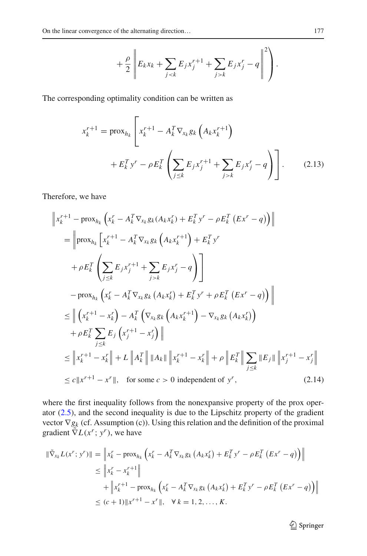$$
+\frac{\rho}{2}\left\|E_kx_k+\sum_{jk}E_jx_j^r-q\right\|^2\right).
$$

<span id="page-12-0"></span>The corresponding optimality condition can be written as

$$
x_k^{r+1} = \text{prox}_{h_k} \left[ x_k^{r+1} - A_k^T \nabla_{x_k} g_k \left( A_k x_k^{r+1} \right) + E_k^T y^r - \rho E_k^T \left( \sum_{j \le k} E_j x_j^{r+1} + \sum_{j > k} E_j x_j^r - q \right) \right].
$$
 (2.13)

<span id="page-12-1"></span>Therefore, we have

$$
\|x_{k}^{r+1} - \text{prox}_{h_{k}} \left( x_{k}^{r} - A_{k}^{T} \nabla_{x_{k}} g_{k}(A_{k} x_{k}^{r}) + E_{k}^{T} y^{r} - \rho E_{k}^{T} (Ex^{r} - q) \right) \|
$$
\n
$$
= \left\| \text{prox}_{h_{k}} \left[ x_{k}^{r+1} - A_{k}^{T} \nabla_{x_{k}} g_{k} \left( A_{k} x_{k}^{r+1} \right) + E_{k}^{T} y^{r} \right. \right.
$$
\n
$$
+ \rho E_{k}^{T} \left( \sum_{j \leq k} E_{j} x_{j}^{r+1} + \sum_{j > k} E_{j} x_{j}^{r} - q \right) \right]
$$
\n
$$
- \text{prox}_{h_{k}} \left( x_{k}^{r} - A_{k}^{T} \nabla_{x_{k}} g_{k} \left( A_{k} x_{k}^{r} \right) + E_{k}^{T} y^{r} + \rho E_{k}^{T} (Ex^{r} - q) \right) \|
$$
\n
$$
\leq \left\| \left( x_{k}^{r+1} - x_{k}^{r} \right) - A_{k}^{T} \left( \nabla_{x_{k}} g_{k} \left( A_{k} x_{k}^{r+1} \right) - \nabla_{x_{k}} g_{k} \left( A_{k} x_{k}^{r} \right) \right) \right.
$$
\n
$$
+ \rho E_{k}^{T} \sum_{j \leq k} E_{j} \left( x_{j}^{r+1} - x_{j}^{r} \right) \|
$$
\n
$$
\leq \left\| x_{k}^{r+1} - x_{k}^{r} \right\| + L \left\| A_{k}^{T} \right\| \left\| A_{k} \right\| \left\| x_{k}^{r+1} - x_{k}^{r} \right\| + \rho \left\| E_{k}^{T} \right\| \sum_{j \leq k} \left\| E_{j} \right\| \left\| x_{j}^{r+1} - x_{j}^{r} \right\|
$$
\n
$$
\leq c \left\| x^{r+1} - x^{r} \right\|, \text{ for some } c > 0 \text{ independent of } y^{r}, \tag{2.14}
$$

where the first inequality follows from the nonexpansive property of the prox operator [\(2.5\)](#page-8-1), and the second inequality is due to the Lipschitz property of the gradient vector  $\nabla g_k$  (cf. Assumption (c)). Using this relation and the definition of the proximal gradient  $\tilde{\nabla}L(x^r; y^r)$ , we have

$$
\begin{aligned} \|\tilde{\nabla}_{x_k} L(x^r; y^r)\| &= \left\|x_k^r - \text{prox}_{h_k} \left(x_k^r - A_k^T \nabla_{x_k} g_k \left(A_k x_k^r\right) + E_k^T y^r - \rho E_k^T \left(E x^r - q\right)\right)\right\| \\ &\le \left\|x_k^r - x_k^{r+1}\right\| \\ &+ \left\|x_k^{r+1} - \text{prox}_{h_k} \left(x_k^r - A_k^T \nabla_{x_k} g_k \left(A_k x_k^r\right) + E_k^T y^r - \rho E_k^T \left(E x^r - q\right)\right)\right\| \\ &\le (c+1) \|x^{r+1} - x^r\|, \quad \forall \ k = 1, 2, \dots, K. \end{aligned}
$$

<sup>2</sup> Springer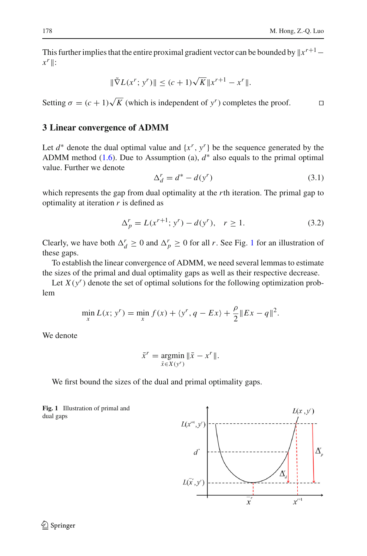This further implies that the entire proximal gradient vector can be bounded by  $|x^{r+1}$  $x^r$  :

$$
\|\tilde{\nabla}L(x^r; y^r)\| \le (c+1)\sqrt{K} \|x^{r+1} - x^r\|.
$$

Setting  $\sigma = (c+1)\sqrt{K}$  (which is independent of *y<sup>r</sup>*) completes the proof.

# <span id="page-13-0"></span>**3 Linear convergence of ADMM**

Let  $d^*$  denote the dual optimal value and  $\{x^r, y^r\}$  be the sequence generated by the ADMM method  $(1.6)$ . Due to Assumption  $(a)$ ,  $d^*$  also equals to the primal optimal value. Further we denote

$$
\Delta_d^r = d^* - d(y^r) \tag{3.1}
$$

which represents the gap from dual optimality at the *r*th iteration. The primal gap to optimality at iteration *r* is defined as

$$
\Delta_p^r = L(x^{r+1}; y^r) - d(y^r), \quad r \ge 1.
$$
\n(3.2)

Clearly, we have both  $\Delta_d^r \ge 0$  and  $\Delta_p^r \ge 0$  for all *r*. See Fig. [1](#page-13-1) for an illustration of these gaps.

To establish the linear convergence of ADMM, we need several lemmas to estimate the sizes of the primal and dual optimality gaps as well as their respective decrease.

Let  $X(y^r)$  denote the set of optimal solutions for the following optimization problem

$$
\min_{x} L(x; y^r) = \min_{x} f(x) + \langle y^r, q - Ex \rangle + \frac{\rho}{2} \|Ex - q\|^2.
$$

We denote

$$
\bar{x}^r = \underset{\bar{x} \in X(y^r)}{\operatorname{argmin}} \|\bar{x} - x^r\|.
$$

We first bound the sizes of the dual and primal optimality gaps.

<span id="page-13-2"></span><span id="page-13-1"></span>**Fig. 1** Illustration of primal and dual gaps

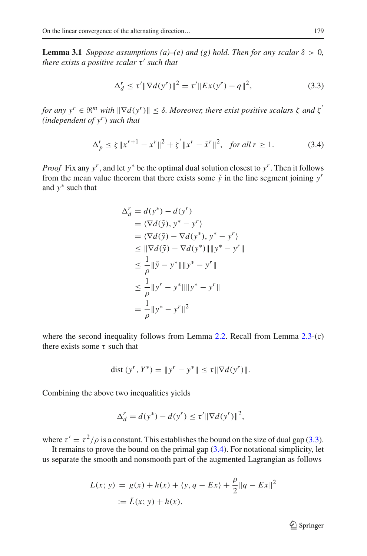**Lemma 3.1** *Suppose assumptions (a)–(e) and (g) hold. Then for any scalar*  $\delta > 0$ , *there exists a positive scalar*  $\tau'$  *such that* 

$$
\Delta_d^r \le \tau' \|\nabla d(y^r)\|^2 = \tau' \|Ex(y^r) - q\|^2,\tag{3.3}
$$

<span id="page-14-0"></span>*for any*  $y^r \in \mathbb{R}^m$  *with*  $\|\nabla d(y^r)\| \leq \delta$ . Moreover, there exist positive scalars  $\zeta$  *and*  $\zeta$ <sup>*'*</sup> *(independent of yr*) *such that*

$$
\Delta_p^r \le \zeta \|x^{r+1} - x^r\|^2 + \zeta' \|x^r - \bar{x}^r\|^2, \text{ for all } r \ge 1.
$$
 (3.4)

<span id="page-14-1"></span>*Proof* Fix any *yr*, and let *y*<sup>∗</sup> be the optimal dual solution closest to *yr*. Then it follows from the mean value theorem that there exists some  $\tilde{y}$  in the line segment joining  $y^r$ and *y*∗ such that

$$
\Delta_d^r = d(y^*) - d(y^r) \n= \langle \nabla d(\tilde{y}), y^* - y^r \rangle \n= \langle \nabla d(\tilde{y}), y^* - y^r \rangle \n\le ||\nabla d(\tilde{y}) - \nabla d(y^*)|| ||y^* - y^r|| \n\le \frac{1}{\rho} ||\tilde{y} - y^*|| ||y^* - y^r|| \n\le \frac{1}{\rho} ||y^r - y^*|| ||y^* - y^r|| \n= \frac{1}{\rho} ||y^* - y^*||^2
$$

where the second inequality follows from Lemma [2.2.](#page-7-0) Recall from Lemma [2.3-](#page-9-1)(c) there exists some  $\tau$  such that

dist 
$$
(y^r, Y^*) = ||y^r - y^*|| \le \tau ||\nabla d(y^r)||
$$
.

Combining the above two inequalities yields

$$
\Delta_d^r = d(y^*) - d(y^r) \le \tau' \|\nabla d(y^r)\|^2,
$$

where  $\tau' = \tau^2/\rho$  is a constant. This establishes the bound on the size of dual gap [\(3.3\)](#page-14-0).

It remains to prove the bound on the primal gap  $(3.4)$ . For notational simplicity, let us separate the smooth and nonsmooth part of the augmented Lagrangian as follows

$$
L(x; y) = g(x) + h(x) + \langle y, q - Ex \rangle + \frac{\rho}{2} ||q - Ex||^2
$$
  
 :=  $\bar{L}(x; y) + h(x)$ .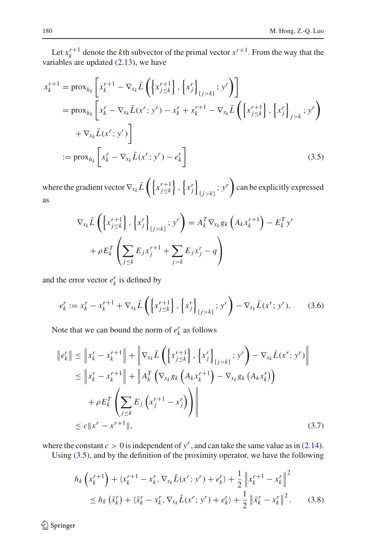Let  $x_k^{r+1}$  denote the *k*th subvector of the primal vector  $x^{r+1}$ . From the way that the variables are updated  $(2.13)$ , we have

$$
x_{k}^{r+1} = \text{prox}_{h_{k}} \left[ x_{k}^{r+1} - \nabla_{x_{k}} \bar{L} \left( \left\{ x_{j \leq k}^{r+1} \right\}, \left\{ x_{j}^{r} \right\}_{\{j > k\}}; y^{r} \right) \right]
$$
  
\n
$$
= \text{prox}_{h_{k}} \left[ x_{k}^{r} - \nabla_{x_{k}} \bar{L} (x^{r}; y^{r}) - x_{k}^{r} + x_{k}^{r+1} - \nabla_{x_{k}} \bar{L} \left( \left\{ x_{j \leq k}^{r+1} \right\}, \left\{ x_{j}^{r} \right\}_{j > k}; y^{r} \right) \right]
$$
  
\n
$$
+ \nabla_{x_{k}} \bar{L} (x^{r}; y^{r}) \right]
$$
  
\n
$$
:= \text{prox}_{h_{k}} \left[ x_{k}^{r} - \nabla_{x_{k}} \bar{L} (x^{r}; y^{r}) - e_{k}^{r} \right]
$$
(3.5)

where the gradient vector  $\nabla_{x_k} \bar{L} \left( \left\{ x_{j \leq k}^{r+1} \right\} \right)$  $\left\{ x_{j}^{r} \right\}$  ${f}$  ;  $y^r$  can be explicitly expressed as

<span id="page-15-0"></span>
$$
\nabla_{x_k} \bar{L} \left( \left\{ x_{j \le k}^{r+1} \right\}, \left\{ x_j^r \right\}_{\{j > k\}}; y^r \right) = A_k^T \nabla_{x_k} g_k \left( A_k x_k^{r+1} \right) - E_k^T y^r
$$

$$
+ \rho E_k^T \left( \sum_{j \le k} E_j x_j^{r+1} + \sum_{j > k} E_j x_j^r - q \right)
$$

and the error vector  $e^r_k$  is defined by

$$
e_k^r := x_k^r - x_k^{r+1} + \nabla_{x_k} \bar{L} \left( \left\{ x_{j \le k}^{r+1} \right\}, \left\{ x_j^r \right\}_{\{j > k\}}, y^r \right) - \nabla_{x_k} \bar{L}(x^r; y^r). \tag{3.6}
$$

Note that we can bound the norm of  $e_k^r$  as follows

$$
\|e_{k}^{r}\| \leq \|x_{k}^{r} - x_{k}^{r+1}\| + \|\nabla_{x_{k}}\bar{L}\left(\left\{x_{j\leq k}^{r+1}\right\}, \left\{x_{j}^{r}\right\}_{\{j>k\}}; y^{r}\right) - \nabla_{x_{k}}\bar{L}(x^{r}; y^{r})\|
$$
\n
$$
\leq \|x_{k}^{r} - x_{k}^{r+1}\| + \|A_{k}^{T}\left(\nabla_{x_{k}}g_{k}\left(A_{k}x_{k}^{r+1}\right) - \nabla_{x_{k}}g_{k}\left(A_{k}x_{k}^{r}\right)\right)
$$
\n
$$
+ \rho E_{k}^{T}\left(\sum_{j\leq k}E_{j}\left(x_{j}^{r+1} - x_{j}^{r}\right)\right) \leq c \|x^{r} - x^{r+1}\|,
$$
\n(3.7)

where the constant  $c > 0$  is independent of  $y<sup>r</sup>$ , and can take the same value as in [\(2.14\)](#page-12-1).

Using [\(3.5\)](#page-15-0), and by the definition of the proximity operator, we have the following

<span id="page-15-1"></span>
$$
h_k\left(x_k^{r+1}\right) + \langle x_k^{r+1} - x_k^r, \nabla_{x_k}\bar{L}(x^r; y^r) + e_k^r \rangle + \frac{1}{2} \left\|x_k^{r+1} - x_k^r\right\|^2
$$
  
\n
$$
\leq h_k\left(\bar{x}_k^r\right) + \langle \bar{x}_k^r - x_k^r, \nabla_{x_k}\bar{L}(x^r; y^r) + e_k^r \rangle + \frac{1}{2} \left\|\bar{x}_k^r - x_k^r\right\|^2. \tag{3.8}
$$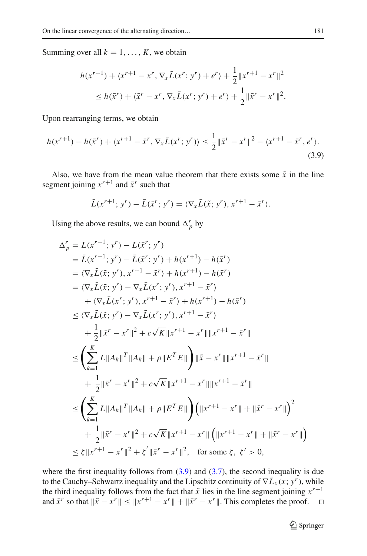Summing over all  $k = 1, \ldots, K$ , we obtain

$$
h(x^{r+1}) + \langle x^{r+1} - x^r, \nabla_x \bar{L}(x^r; y^r) + e^r \rangle + \frac{1}{2} \|x^{r+1} - x^r\|^2
$$
  
\n
$$
\leq h(\bar{x}^r) + \langle \bar{x}^r - x^r, \nabla_x \bar{L}(x^r; y^r) + e^r \rangle + \frac{1}{2} \|\bar{x}^r - x^r\|^2.
$$

Upon rearranging terms, we obtain

$$
h(x^{r+1}) - h(\bar{x}^r) + \langle x^{r+1} - \bar{x}^r, \nabla_{\bar{x}} \bar{L}(x^r; y^r) \rangle \le \frac{1}{2} \|\bar{x}^r - x^r\|^2 - \langle x^{r+1} - \bar{x}^r, e^r \rangle.
$$
\n(3.9)

Also, we have from the mean value theorem that there exists some  $\tilde{x}$  in the line segment joining  $x^{r+1}$  and  $\bar{x}^r$  such that

<span id="page-16-0"></span>
$$
\bar{L}(x^{r+1}; y^r) - \bar{L}(\bar{x}^r; y^r) = \langle \nabla_x \bar{L}(\tilde{x}; y^r), x^{r+1} - \bar{x}^r \rangle.
$$

Using the above results, we can bound  $\Delta_p^r$  by

$$
\Delta_{p}^{r} = L(x^{r+1}; y^{r}) - L(\bar{x}^{r}; y^{r})
$$
  
\n
$$
= \bar{L}(x^{r+1}; y^{r}) - \bar{L}(\bar{x}^{r}; y^{r}) + h(x^{r+1}) - h(\bar{x}^{r})
$$
  
\n
$$
= \langle \nabla_{x} \bar{L}(\tilde{x}; y^{r}), x^{r+1} - \bar{x}^{r} \rangle + h(x^{r+1}) - h(\bar{x}^{r})
$$
  
\n
$$
= \langle \nabla_{x} \bar{L}(\tilde{x}; y^{r}) - \nabla_{x} \bar{L}(x^{r}; y^{r}), x^{r+1} - \bar{x}^{r} \rangle
$$
  
\n
$$
+ \langle \nabla_{x} \bar{L}(x^{r}; y^{r}), x^{r+1} - \bar{x}^{r} \rangle + h(x^{r+1}) - h(\bar{x}^{r})
$$
  
\n
$$
\leq \langle \nabla_{x} \bar{L}(\tilde{x}; y^{r}) - \nabla_{x} \bar{L}(x^{r}; y^{r}), x^{r+1} - \bar{x}^{r} \rangle
$$
  
\n
$$
+ \frac{1}{2} ||\bar{x}^{r} - x^{r}||^{2} + c\sqrt{K} ||x^{r+1} - x^{r}|| ||x^{r+1} - \bar{x}^{r}||
$$
  
\n
$$
\leq \left( \sum_{k=1}^{K} L ||A_{k}||^{T} ||A_{k}|| + \rho ||E^{T} E|| \right) ||\tilde{x} - x^{r}|| ||x^{r+1} - \bar{x}^{r}||
$$
  
\n
$$
+ \frac{1}{2} ||\bar{x}^{r} - x^{r}||^{2} + c\sqrt{K} ||x^{r+1} - x^{r}|| ||x^{r+1} - \bar{x}^{r}||
$$
  
\n
$$
\leq \left( \sum_{k=1}^{K} L ||A_{k}||^{T} ||A_{k}|| + \rho ||E^{T} E|| \right) \left( ||x^{r+1} - x^{r}|| + ||\bar{x}^{r} - x^{r}|| \right)^{2}
$$
  
\n
$$
+ \frac{1}{2} ||\bar{x}^{r} - x^{r}||^{2} + c\sqrt{K} ||x^{r+1} - x^{r}|| \left
$$

where the first inequality follows from  $(3.9)$  and  $(3.7)$ , the second inequality is due to the Cauchy–Schwartz inequality and the Lipschitz continuity of  $\nabla \bar{L}_x(x; y^r)$ , while the third inequality follows from the fact that  $\tilde{x}$  lies in the line segment joining  $x^{r+1}$  and  $\tilde{x}^r$  so that  $\|\tilde{x} - x^r\| < \|x^{r+1} - x^r\| + \|\tilde{x}^r - x^r\|$ . This completes the proof.  $\Box$ and  $\bar{x}^r$  so that  $\|\tilde{x} - x^r\| \leq \|x^{r+1} - x^r\| + \|\bar{x}^r - x^r\|$ . This completes the proof.

 $\mathcal{D}$  Springer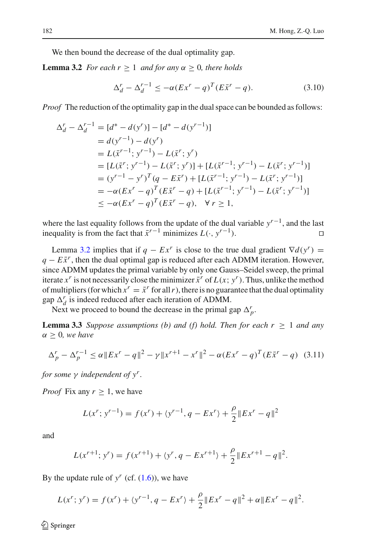We then bound the decrease of the dual optimality gap.

<span id="page-17-3"></span>**Lemma 3.2** *For each r*  $\geq 1$  *and for any*  $\alpha \geq 0$ *, there holds* 

<span id="page-17-0"></span>
$$
\Delta_d^r - \Delta_d^{r-1} \le -\alpha (Ex^r - q)^T (E\bar{x}^r - q). \tag{3.10}
$$

*Proof* The reduction of the optimality gap in the dual space can be bounded as follows:

$$
\Delta_d^r - \Delta_d^{r-1} = [d^* - d(y^r)] - [d^* - d(y^{r-1})]
$$
  
=  $d(y^{r-1}) - d(y^r)$   
=  $L(\bar{x}^{r-1}; y^{r-1}) - L(\bar{x}^r; y^r)$   
=  $[L(\bar{x}^r; y^{r-1}) - L(\bar{x}^r; y^r)] + [L(\bar{x}^{r-1}; y^{r-1}) - L(\bar{x}^r; y^{r-1})]$   
=  $(y^{r-1} - y^r)^T (q - E\bar{x}^r) + [L(\bar{x}^{r-1}; y^{r-1}) - L(\bar{x}^r; y^{r-1})]$   
=  $-\alpha (Ex^r - q)^T (E\bar{x}^r - q) + [L(\bar{x}^{r-1}; y^{r-1}) - L(\bar{x}^r; y^{r-1})]$   
 $\le -\alpha (Ex^r - q)^T (E\bar{x}^r - q), \quad \forall r \ge 1,$ 

where the last equality follows from the update of the dual variable *yr*−1, and the last inequality is from the fact that  $\bar{x}^{r-1}$  minimizes  $L(·, y^{r-1})$ . □

Lemma [3.2](#page-17-0) implies that if  $q - Ex^r$  is close to the true dual gradient  $\nabla d(y^r)$  =  $q - E\bar{x}^r$ , then the dual optimal gap is reduced after each ADMM iteration. However, since ADMM updates the primal variable by only one Gauss–Seidel sweep, the primal iterate  $x^r$  is not necessarily close the minimizer  $\bar{x}^r$  of  $L(x; y^r)$ . Thus, unlike the method of multipliers (for which  $x^r = \bar{x}^r$  for all *r*), there is no guarantee that the dual optimality gap  $\Delta_d^r$  is indeed reduced after each iteration of ADMM.

<span id="page-17-1"></span>Next we proceed to bound the decrease in the primal gap  $\Delta_p^r$ .

**Lemma 3.3** *Suppose assumptions (b) and (f) hold. Then for each*  $r \geq 1$  *and any* α ≥ 0*, we have*

$$
\Delta_p^r - \Delta_p^{r-1} \le \alpha \|Ex^r - q\|^2 - \gamma \|x^{r+1} - x^r\|^2 - \alpha (Ex^r - q)^T (E\bar{x}^r - q) \tag{3.11}
$$

<span id="page-17-2"></span>*for some* γ *independent of yr.*

*Proof* Fix any  $r > 1$ , we have

$$
L(x^r; y^{r-1}) = f(x^r) + \langle y^{r-1}, q - Ex^r \rangle + \frac{\rho}{2} ||Ex^r - q||^2
$$

and

$$
L(x^{r+1}; y^r) = f(x^{r+1}) + \langle y^r, q - Ex^{r+1} \rangle + \frac{\rho}{2} ||Ex^{r+1} - q||^2.
$$

By the update rule of  $y^r$  (cf.  $(1.6)$ ), we have

$$
L(x^r; y^r) = f(x^r) + \langle y^{r-1}, q - Ex^r \rangle + \frac{\rho}{2} ||Ex^r - q||^2 + \alpha ||Ex^r - q||^2.
$$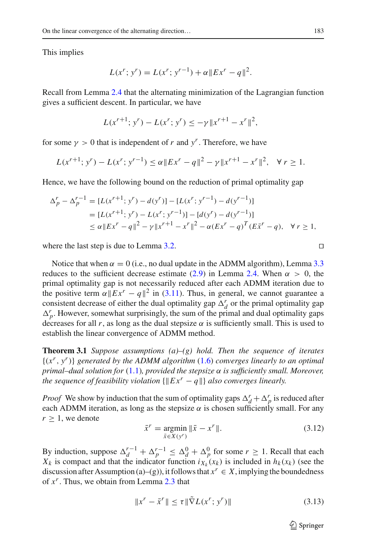This implies

$$
L(x^r; y^r) = L(x^r; y^{r-1}) + \alpha ||Ex^r - q||^2.
$$

Recall from Lemma [2.4](#page-10-0) that the alternating minimization of the Lagrangian function gives a sufficient descent. In particular, we have

$$
L(x^{r+1}; y^r) - L(x^r; y^r) \le -\gamma \|x^{r+1} - x^r\|^2,
$$

for some  $\gamma > 0$  that is independent of *r* and *y<sup>r</sup>*. Therefore, we have

$$
L(x^{r+1}; y^r) - L(x^r; y^{r-1}) \le \alpha \|Ex^r - q\|^2 - \gamma \|x^{r+1} - x^r\|^2, \quad \forall \ r \ge 1.
$$

Hence, we have the following bound on the reduction of primal optimality gap

$$
\Delta_p^r - \Delta_p^{r-1} = [L(x^{r+1}; y^r) - d(y^r)] - [L(x^r; y^{r-1}) - d(y^{r-1})]
$$
  
=  $[L(x^{r+1}; y^r) - L(x^r; y^{r-1})] - [d(y^r) - d(y^{r-1})]$   
 $\leq \alpha ||Ex^r - q||^2 - \gamma ||x^{r+1} - x^r||^2 - \alpha (Ex^r - q)^T (Ex^r - q), \quad \forall r \geq 1,$ 

where the last step is due to Lemma [3.2.](#page-17-0)  $\Box$ 

Notice that when  $\alpha = 0$  (i.e., no dual update in the ADMM algorithm), Lemma [3.3](#page-17-1) reduces to the sufficient decrease estimate [\(2.9\)](#page-10-1) in Lemma [2.4.](#page-10-0) When  $\alpha > 0$ , the primal optimality gap is not necessarily reduced after each ADMM iteration due to the positive term  $\alpha ||Ex^r - q||^2$  in [\(3.11\)](#page-17-2). Thus, in general, we cannot guarantee a consistent decrease of either the dual optimality gap  $\Delta_d^r$  or the primal optimality gap  $\Delta_p^r$ . However, somewhat surprisingly, the sum of the primal and dual optimality gaps decreases for all r, as long as the dual stepsize  $\alpha$  is sufficiently small. This is used to establish the linear convergence of ADMM method.

<span id="page-18-0"></span>**Theorem 3.1** *Suppose assumptions (a)–(g) hold. Then the sequence of iterates* {(*xr*, *<sup>y</sup>r*)} *generated by the ADMM algorithm* [\(1.6\)](#page-3-0) *converges linearly to an optimal primal–dual solution for* [\(1.1\)](#page-1-0)*, provided the stepsize* α *is sufficiently small. Moreover, the sequence of feasibility violation*  $\{||Ex^r - q||\}$  *also converges linearly.* 

*Proof* We show by induction that the sum of optimality gaps  $\Delta_d^r + \Delta_p^r$  is reduced after each ADMM iteration, as long as the stepsize  $\alpha$  is chosen sufficiently small. For any  $r > 1$ , we denote

$$
\bar{x}^{r} = \underset{\bar{x} \in X(y^{r})}{\text{argmin}} \|\bar{x} - x^{r}\|.
$$
 (3.12)

<span id="page-18-1"></span>By induction, suppose  $\Delta_d^{r-1} + \Delta_p^{r-1} \le \Delta_d^0 + \Delta_p^0$  for some  $r \ge 1$ . Recall that each  $X_k$  is compact and that the indicator function  $i_{X_k}(x_k)$  is included in  $h_k(x_k)$  (see the discussion after Assumption (a)–(g)), it follows that  $x^r \in X$ , implying the boundedness of *xr*. Thus, we obtain from Lemma [2.3](#page-9-1) that

$$
||x^r - \bar{x}^r|| \le \tau ||\tilde{\nabla}L(x^r; y^r)|| \tag{3.13}
$$

 $\mathcal{D}$  Springer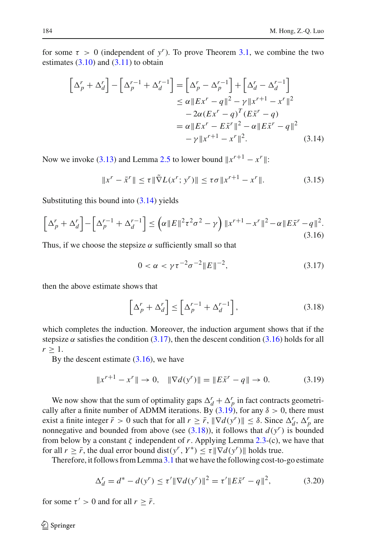<span id="page-19-0"></span>for some  $\tau > 0$  (independent of *y<sup>r</sup>*). To prove Theorem [3.1,](#page-18-0) we combine the two estimates  $(3.10)$  and  $(3.11)$  to obtain

$$
\left[\Delta_p^r + \Delta_d^r\right] - \left[\Delta_p^{r-1} + \Delta_d^{r-1}\right] = \left[\Delta_p^r - \Delta_p^{r-1}\right] + \left[\Delta_d^r - \Delta_d^{r-1}\right]
$$
  
\n
$$
\leq \alpha \|Ex^r - q\|^2 - \gamma \|x^{r+1} - x^r\|^2
$$
  
\n
$$
-2\alpha (Ex^r - q)^T (Ex^r - q)
$$
  
\n
$$
= \alpha \|Ex^r - Ex^r\|^2 - \alpha \|Ex^r - q\|^2
$$
  
\n
$$
-\gamma \|x^{r+1} - x^r\|^2. \tag{3.14}
$$

<span id="page-19-5"></span>Now we invoke [\(3.13\)](#page-18-1) and Lemma [2.5](#page-11-1) to lower bound  $||x^{r+1} - x^r||$ :

$$
||x^{r} - \bar{x}^{r}|| \le \tau ||\tilde{\nabla}L(x^{r}; y^{r})|| \le \tau \sigma ||x^{r+1} - x^{r}||. \tag{3.15}
$$

Substituting this bound into  $(3.14)$  yields

<span id="page-19-2"></span>
$$
\[ \Delta_p^r + \Delta_d^r \] - \left[ \Delta_p^{r-1} + \Delta_d^{r-1} \right] \le \left( \alpha \| E \|^2 \tau^2 \sigma^2 - \gamma \right) \| x^{r+1} - x^r \|^2 - \alpha \| E \bar{x}^r - q \|^2. \tag{3.16}
$$

<span id="page-19-1"></span>Thus, if we choose the stepsize  $\alpha$  sufficiently small so that

$$
0 < \alpha < \gamma \tau^{-2} \sigma^{-2} \|E\|^{-2},\tag{3.17}
$$

<span id="page-19-4"></span>then the above estimate shows that

$$
\left[\Delta_p^r + \Delta_d^r\right] \le \left[\Delta_p^{r-1} + \Delta_d^{r-1}\right],\tag{3.18}
$$

which completes the induction. Moreover, the induction argument shows that if the stepsize  $\alpha$  satisfies the condition [\(3.17\)](#page-19-1), then the descent condition [\(3.16\)](#page-19-2) holds for all  $r > 1$ .

By the descent estimate  $(3.16)$ , we have

$$
||x^{r+1} - x^r|| \to 0, \quad ||\nabla d(y^r)|| = ||E\bar{x}^r - q|| \to 0. \tag{3.19}
$$

<span id="page-19-3"></span>We now show that the sum of optimality gaps  $\Delta_d^r + \Delta_p^r$  in fact contracts geometrically after a finite number of ADMM iterations. By  $(3.19)$ , for any  $\delta > 0$ , there must exist a finite integer  $\bar{r} > 0$  such that for all  $r \geq \bar{r}$ ,  $\|\nabla d(y^r)\| \leq \delta$ . Since  $\Delta_d^r$ ,  $\Delta_p^r$  are nonnegative and bounded from above (see  $(3.18)$ ), it follows that  $d(y^r)$  is bounded from below by a constant  $\zeta$  independent of r. Applying Lemma [2.3-](#page-9-1)(c), we have that for all  $r \geq \bar{r}$ , the dual error bound dist( $y^r$ ,  $Y^*$ )  $\leq \tau \|\nabla d(y^r)\|$  holds true.

Therefore, it follows from Lemma [3.1](#page-13-2) that we have the following cost-to-go estimate

$$
\Delta_d^r = d^* - d(y^r) \le \tau' \|\nabla d(y^r)\|^2 = \tau' \|E\bar{x}^r - q\|^2,\tag{3.20}
$$

<span id="page-19-6"></span>for some  $\tau' > 0$  and for all  $r \geq \bar{r}$ .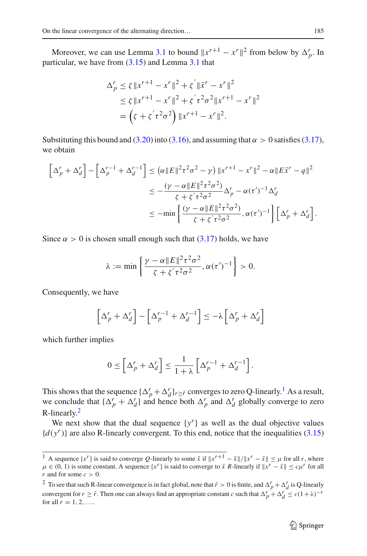Moreover, we can use Lemma [3.1](#page-13-2) to bound  $||x^{r+1} - x^r||^2$  from below by  $\Delta_p^r$ . In particular, we have from [\(3.15\)](#page-19-5) and Lemma [3.1](#page-13-2) that

$$
\Delta_p^r \le \zeta \|x^{r+1} - x^r\|^2 + \zeta' \|\bar{x}^r - x^r\|^2
$$
  
\n
$$
\le \zeta \|x^{r+1} - x^r\|^2 + \zeta' \tau^2 \sigma^2 \|x^{r+1} - x^r\|^2
$$
  
\n
$$
= \left(\zeta + \zeta' \tau^2 \sigma^2\right) \|x^{r+1} - x^r\|^2.
$$

Substituting this bound and [\(3.20\)](#page-19-6) into [\(3.16\)](#page-19-2), and assuming that  $\alpha > 0$  satisfies [\(3.17\)](#page-19-1), we obtain

$$
\left[\Delta_p^r + \Delta_d^r\right] - \left[\Delta_p^{r-1} + \Delta_d^{r-1}\right] \leq \left(\alpha \|E\|^2 \tau^2 \sigma^2 - \gamma\right) \|x^{r+1} - x^r\|^2 - \alpha \|E\bar{x}^r - q\|^2
$$
  

$$
\leq -\frac{(\gamma - \alpha \|E\|^2 \tau^2 \sigma^2)}{\zeta + \zeta' \tau^2 \sigma^2} \Delta_p^r - \alpha (\tau')^{-1} \Delta_d^r
$$
  

$$
\leq -\min\left\{\frac{(\gamma - \alpha \|E\|^2 \tau^2 \sigma^2)}{\zeta + \zeta' \tau^2 \sigma^2}, \alpha (\tau')^{-1}\right\} \left[\Delta_p^r + \Delta_d^r\right].
$$

Since  $\alpha > 0$  is chosen small enough such that  $(3.17)$  holds, we have

$$
\lambda := \min \left\{ \frac{\gamma - \alpha \|E\|^2 \tau^2 \sigma^2}{\zeta + \zeta' \tau^2 \sigma^2}, \alpha(\tau')^{-1} \right\} > 0.
$$

Consequently, we have

$$
\left[\Delta_p^r + \Delta_d^r\right] - \left[\Delta_p^{r-1} + \Delta_d^{r-1}\right] \le -\lambda \left[\Delta_p^r + \Delta_d^r\right]
$$

which further implies

$$
0 \leq \left[\Delta_p^r + \Delta_d^r\right] \leq \frac{1}{1+\lambda} \left[\Delta_p^{r-1} + \Delta_d^{r-1}\right].
$$

This shows that the sequence  $\{\Delta_p^r + \Delta_d^r\}_{r \geq \bar{r}}$  converges to zero Q-linearly.<sup>1</sup> As a result, we conclude that  $\{\Delta_p^r + \Delta_d^r\}$  and hence both  $\Delta_p^r$  and  $\Delta_d^r$  globally converge to zero R-linearly. $2$ 

We next show that the dual sequence  $\{y^r\}$  as well as the dual objective values  ${d(y^r)}$  are also R-linearly convergent. To this end, notice that the inequalities [\(3.15\)](#page-19-5)

<span id="page-20-0"></span><sup>&</sup>lt;sup>1</sup> A sequence  $\{x^r\}$  is said to converge *Q*-linearly to some  $\bar{x}$  if  $||x^{r+1} - \bar{x}||/||x^r - \bar{x}|| \leq \mu$  for all *r*, where  $\mu \in (0, 1)$  is some constant. A sequence  $\{x^r\}$  is said to converge to  $\bar{x}$  R-linearly if  $\|\bar{x}^r - \bar{x}\| \leq c\mu^r$  for all *r* and for some  $c > 0$ .

<span id="page-20-1"></span><sup>&</sup>lt;sup>2</sup> To see that such R-linear convergence is in fact global, note that  $\bar{r} > 0$  is finite, and  $\Delta_p^r + \Delta_d^r$  is Q-linearly convergent for  $r \geq \bar{r}$ . Then one can always find an appropriate constant *c* such that  $\Delta_p^r + \Delta_d^r \leq c(1+\lambda)^{-r}$ for all  $r = 1, 2, ...$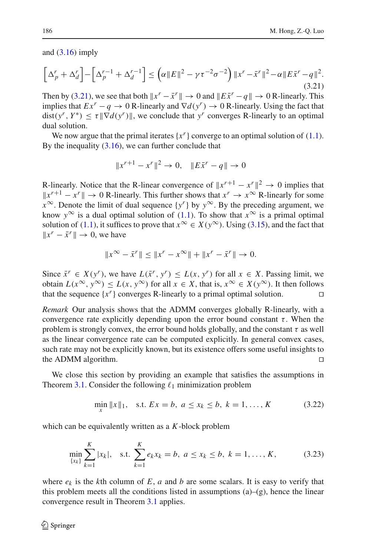and  $(3.16)$  imply

<span id="page-21-0"></span>
$$
\[ \Delta_p^r + \Delta_d^r \] - \left[ \Delta_p^{r-1} + \Delta_d^{r-1} \right] \le \left( \alpha \| E \|^2 - \gamma \tau^{-2} \sigma^{-2} \right) \| x^r - \bar{x}^r \|^2 - \alpha \| E \bar{x}^r - q \|^2. \tag{3.21}
$$

Then by [\(3.21\)](#page-21-0), we see that both  $x^r - \bar{x}^r \rVert \to 0$  and  $\Vert E\bar{x}^r - q \Vert \to 0$  R-linearly. This implies that  $Ex^r - q \rightarrow 0$  R-linearly and  $\nabla d(y^r) \rightarrow 0$  R-linearly. Using the fact that  $dist(y^r, Y^*) \leq \tau \|\nabla d(y^r)\|$ , we conclude that  $y^r$  converges R-linearly to an optimal dual solution.

We now argue that the primal iterates  $\{x^r\}$  converge to an optimal solution of  $(1.1)$ . By the inequality  $(3.16)$ , we can further conclude that

$$
||x^{r+1} - x^r||^2 \to 0, \quad ||E\bar{x}^r - q|| \to 0
$$

R-linearly. Notice that the R-linear convergence of  $||x^{r+1} - x^r||^2 \rightarrow 0$  implies that  $||x^{r+1} - x^r|| \to 0$  R-linearly. This further shows that  $x^r \to x^\infty$  R-linearly for some  $x^{\infty}$ . Denote the limit of dual sequence  $\{y^{r}\}$  by  $y^{\infty}$ . By the preceding argument, we know  $y^{\infty}$  is a dual optimal solution of [\(1.1\)](#page-1-0). To show that  $x^{\infty}$  is a primal optimal solution of [\(1.1\)](#page-1-0), it suffices to prove that  $x^{\infty} \in X(y^{\infty})$ . Using [\(3.15\)](#page-19-5), and the fact that  $||x^r - \bar{x}^r|| \to 0$ , we have

$$
||x^{\infty} - \bar{x}^{r}|| \le ||x^{r} - x^{\infty}|| + ||x^{r} - \bar{x}^{r}|| \to 0.
$$

Since  $\bar{x}^r \in X(y^r)$ , we have  $L(\bar{x}^r, y^r) \leq L(x, y^r)$  for all  $x \in X$ . Passing limit, we obtain  $L(x^{\infty}, y^{\infty}) \le L(x, y^{\infty})$  for all  $x \in X$ , that is,  $x^{\infty} \in X(y^{\infty})$ . It then follows that the sequence  $\{x^r\}$  converges R-linearly to a primal optimal solution that the sequence  $\{x^r\}$  converges R-linearly to a primal optimal solution.

*Remark* Our analysis shows that the ADMM converges globally R-linearly, with a convergence rate explicitly depending upon the error bound constant  $\tau$ . When the problem is strongly convex, the error bound holds globally, and the constant  $\tau$  as well as the linear convergence rate can be computed explicitly. In general convex cases, such rate may not be explicitly known, but its existence offers some useful insights to the ADMM algorithm.

We close this section by providing an example that satisfies the assumptions in Theorem [3.1.](#page-18-0) Consider the following  $\ell_1$  minimization problem

$$
\min_{x} \|x\|_{1}, \quad \text{s.t. } Ex = b, \ a \le x_{k} \le b, \ k = 1, \dots, K \tag{3.22}
$$

which can be equivalently written as a *K*-block problem

$$
\min_{\{x_k\}} \sum_{k=1}^K |x_k|, \quad \text{s.t.} \ \sum_{k=1}^K e_k x_k = b, \ a \le x_k \le b, \ k = 1, \dots, K,
$$
 (3.23)

where  $e_k$  is the *k*th column of *E*, *a* and *b* are some scalars. It is easy to verify that this problem meets all the conditions listed in assumptions (a)–(g), hence the linear convergence result in Theorem [3.1](#page-18-0) applies.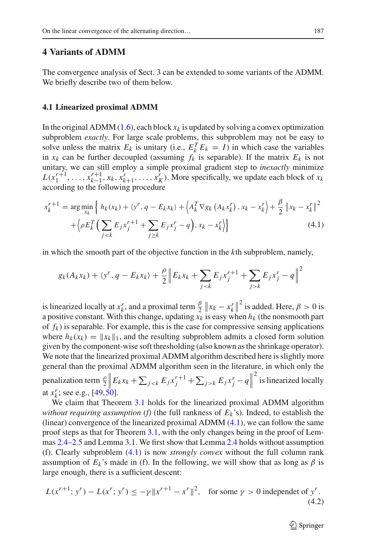## **4 Variants of ADMM**

The convergence analysis of Sect. [3](#page-13-0) can be extended to some variants of the ADMM. We briefly describe two of them below.

#### <span id="page-22-0"></span>**4.1 Linearized proximal ADMM**

In the original ADMM  $(1.6)$ , each block  $x_k$  is updated by solving a convex optimization subproblem *exactly*. For large scale problems, this subproblem may not be easy to solve unless the matrix  $E_k$  is unitary (i.e.,  $E_k^T E_k = I$ ) in which case the variables in  $x_k$  can be further decoupled (assuming  $f_k$  is separable). If the matrix  $E_k$  is not unitary, we can still employ a simple proximal gradient step to *inexactly* minimize  $L(x_1^{r+1}, \ldots, x_{k-1}^{r+1}, x_k, x_{k+1}^r, \ldots, x_K^r)$ . More specifically, we update each block of  $x_k$ according to the following procedure

<span id="page-22-1"></span>
$$
x_k^{r+1} = \arg\min_{x_k} \left\{ h_k(x_k) + \langle y^r, q - E_k x_k \rangle + \left\langle A_k^T \nabla g_k \left( A_k x_k^r \right), x_k - x_k^r \right\rangle + \frac{\beta}{2} \| x_k - x_k^r \|^2 + \left\langle \rho E_k^T \left( \sum_{j < k} E_j x_j^{r+1} + \sum_{j \ge k} E_j x_j^r - q \right), x_k - x_k^r \right\rangle \right\} \tag{4.1}
$$

in which the smooth part of the objective function in the *k*th subproblem, namely,

$$
g_k(A_k x_k) + \langle y^r, q - E_k x_k \rangle + \frac{\rho}{2} \| E_k x_k + \sum_{j < k} E_j x_j^{r+1} + \sum_{j > k} E_j x_j^r - q \|^2
$$

is linearized locally at  $x_k^r$ , and a proximal term  $\frac{\beta}{2} || x_k - x_k^r ||^2$  is added. Here,  $\beta > 0$  is a positive constant. With this change, updating  $x_k$  is easy when  $h_k$  (the nonsmooth part of  $f_k$ ) is separable. For example, this is the case for compressive sensing applications where  $h_k(x_k) = ||x_k||_1$ , and the resulting subproblem admits a closed form solution given by the component-wise soft thresholding (also known as the shrinkage operator). We note that the linearized proximal ADMM algorithm described here is slightly more general than the proximal ADMM algorithm seen in the literature, in which only the penalization term  $\frac{\rho}{2} \left\| E_k x_k + \sum_{j < k} E_j x_j^{r+1} + \sum_{j > k} E_j x_j^r - q \right\|$ 2 is linearized locally at  $x_k^r$ ; see e.g.,  $[49,50]$  $[49,50]$  $[49,50]$ .

We claim that Theorem [3.1](#page-18-0) holds for the linearized proximal ADMM algorithm *without requiring assumption (f)* (the full rankness of  $E_k$ 's). Indeed, to establish the (linear) convergence of the linearized proximal ADMM  $(4.1)$ , we can follow the same proof steps as that for Theorem [3.1,](#page-18-0) with the only changes being in the proof of Lemmas [2.4](#page-10-0)[–2.5](#page-11-1) and Lemma [3.1.](#page-13-2) We first show that Lemma [2.4](#page-10-0) holds without assumption (f). Clearly subproblem [\(4.1\)](#page-22-1) is now *strongly convex* without the full column rank assumption of  $E_k$ 's made in (f). In the following, we will show that as long as  $\beta$  is large enough, there is a sufficient descent:

<span id="page-22-2"></span>
$$
L(x^{r+1}; y^r) - L(x^r; y^r) \le -\gamma \|x^{r+1} - x^r\|^2, \quad \text{for some } \gamma > 0 \text{ independent of } y^r. \tag{4.2}
$$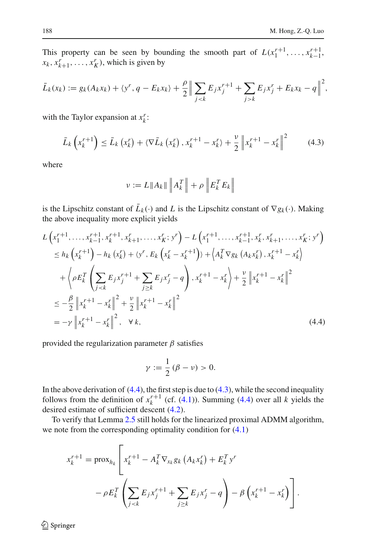This property can be seen by bounding the smooth part of  $L(x_1^{r+1}, \ldots, x_{k-1}^{r+1}, \ldots, x_{k-1}^{r})$  $x_k$ ,  $x_{k+1}^r$ , ...,  $x_K^r$ ), which is given by

$$
\bar{L}_k(x_k) := g_k(A_k x_k) + \langle y^r, q - E_k x_k \rangle + \frac{\rho}{2} \Big\| \sum_{j < k} E_j x_j^{r+1} + \sum_{j > k} E_j x_j^r + E_k x_k - q \Big\|^2,
$$

with the Taylor expansion at  $x_k^r$ :

$$
\bar{L}_{k}\left(x_{k}^{r+1}\right) \leq \bar{L}_{k}\left(x_{k}^{r}\right) + \langle \nabla \bar{L}_{k}\left(x_{k}^{r}\right), x_{k}^{r+1} - x_{k}^{r}\rangle + \frac{\nu}{2} \left\|x_{k}^{r+1} - x_{k}^{r}\right\|^{2} \tag{4.3}
$$

<span id="page-23-1"></span>where

$$
\nu := L \|A_k\| \|A_k^T\| + \rho \|E_k^T E_k\|
$$

is the Lipschitz constant of  $\bar{L}_k(\cdot)$  and *L* is the Lipschitz constant of  $\nabla g_k(\cdot)$ . Making the above inequality more explicit yields

<span id="page-23-0"></span>
$$
L\left(x_1^{r+1}, \ldots, x_{k-1}^{r+1}, x_k^{r+1}, x_{k+1}^r, \ldots, x_K^r; y^r\right) - L\left(x_1^{r+1}, \ldots, x_{k-1}^{r+1}, x_k^r, x_{k+1}^r, \ldots, x_K^r; y^r\right)
$$
  
\n
$$
\leq h_k\left(x_k^{r+1}\right) - h_k\left(x_k^r\right) + \langle y^r, E_k\left(x_k^r - x_k^{r+1}\right)\rangle + \langle A_k^T \nabla g_k\left(A_k x_k^r\right), x_k^{r+1} - x_k^r\rangle
$$
  
\n
$$
+ \left\langle \rho E_k^T \left(\sum_{j < k} E_j x_j^{r+1} + \sum_{j \geq k} E_j x_j^r - q\right), x_k^{r+1} - x_k^r \right\rangle + \frac{\nu}{2} \left\|x_k^{r+1} - x_k^r\right\|^2
$$
  
\n
$$
\leq -\frac{\beta}{2} \left\|x_k^{r+1} - x_k^r\right\|^2 + \frac{\nu}{2} \left\|x_k^{r+1} - x_k^r\right\|^2
$$
  
\n
$$
= -\gamma \left\|x_k^{r+1} - x_k^r\right\|^2, \quad \forall k,
$$
\n(4.4)

provided the regularization parameter  $\beta$  satisfies

$$
\gamma := \frac{1}{2} (\beta - \nu) > 0.
$$

In the above derivation of  $(4.4)$ , the first step is due to  $(4.3)$ , while the second inequality follows from the definition of  $x_k^{r+1}$  (cf. [\(4.1\)](#page-22-1)). Summing [\(4.4\)](#page-23-0) over all *k* yields the desired estimate of sufficient descent [\(4.2\)](#page-22-2).

To verify that Lemma [2.5](#page-11-1) still holds for the linearized proximal ADMM algorithm, we note from the corresponding optimality condition for [\(4.1\)](#page-22-1)

$$
x_k^{r+1} = \text{prox}_{h_k} \left[ x_k^{r+1} - A_k^T \nabla_{x_k} g_k \left( A_k x_k^r \right) + E_k^T y^r - \rho E_k^T \left( \sum_{j < k} E_j x_j^{r+1} + \sum_{j \ge k} E_j x_j^r - q \right) - \beta \left( x_k^{r+1} - x_k^r \right) \right].
$$

<sup>2</sup> Springer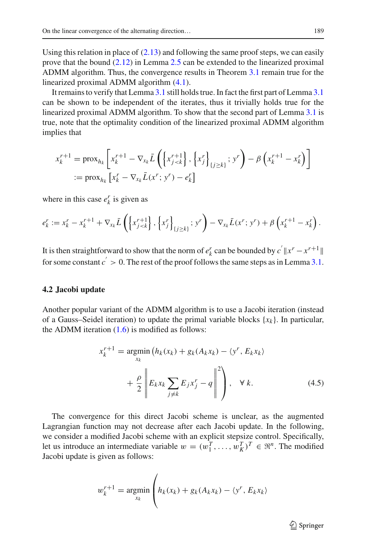Using this relation in place of  $(2.13)$  and following the same proof steps, we can easily prove that the bound [\(2.12\)](#page-11-2) in Lemma [2.5](#page-11-1) can be extended to the linearized proximal ADMM algorithm. Thus, the convergence results in Theorem [3.1](#page-18-0) remain true for the linearized proximal ADMM algorithm [\(4.1\)](#page-22-1).

It remains to verify that Lemma [3.1](#page-13-2) still holds true. In fact the first part of Lemma [3.1](#page-13-2) can be shown to be independent of the iterates, thus it trivially holds true for the linearized proximal ADMM algorithm. To show that the second part of Lemma [3.1](#page-13-2) is true, note that the optimality condition of the linearized proximal ADMM algorithm implies that

$$
x_k^{r+1} = \text{prox}_{h_k} \left[ x_k^{r+1} - \nabla_{x_k} \bar{L} \left( \left\{ x_{j < k}^{r+1} \right\}, \left\{ x_j^r \right\}_{\{j \ge k\}}; y^r \right) - \beta \left( x_k^{r+1} - x_k^r \right) \right]
$$
\n
$$
:= \text{prox}_{h_k} \left[ x_k^r - \nabla_{x_k} \bar{L}(x^r; y^r) - e_k^r \right]
$$

where in this case  $e_k^r$  is given as

$$
e_{k}^{r} := x_{k}^{r} - x_{k}^{r+1} + \nabla_{x_{k}} \bar{L} \left( \left\{ x_{j}^{r+1} \right\}, \left\{ x_{j}^{r} \right\}_{\{j \geq k\}}; y^{r} \right) - \nabla_{x_{k}} \bar{L}(x^{r}; y^{r}) + \beta \left( x_{k}^{r+1} - x_{k}^{r} \right).
$$

It is then straightforward to show that the norm of  $e_k^r$  can be bounded by  $c' || x^r - x^{r+1} ||$ for some constant  $c' > 0$ . The rest of the proof follows the same steps as in Lemma [3.1.](#page-13-2)

#### **4.2 Jacobi update**

<span id="page-24-0"></span>Another popular variant of the ADMM algorithm is to use a Jacobi iteration (instead of a Gauss–Seidel iteration) to update the primal variable blocks  $\{x_k\}$ . In particular, the ADMM iteration  $(1.6)$  is modified as follows:

$$
x_k^{r+1} = \underset{x_k}{\operatorname{argmin}} \left( h_k(x_k) + g_k(A_k x_k) - \langle y^r, E_k x_k \rangle \right)
$$

$$
+ \frac{\rho}{2} \left\| E_k x_k \sum_{j \neq k} E_j x_j^r - q \right\|^2 \right), \quad \forall k. \tag{4.5}
$$

The convergence for this direct Jacobi scheme is unclear, as the augmented Lagrangian function may not decrease after each Jacobi update. In the following, we consider a modified Jacobi scheme with an explicit stepsize control. Specifically, let us introduce an intermediate variable  $w = (w_1^T, \dots, w_K^T)^T \in \mathbb{R}^n$ . The modified Jacobi update is given as follows:

$$
w_k^{r+1} = \underset{x_k}{\operatorname{argmin}} \left( h_k(x_k) + g_k(A_k x_k) - \langle y^r, E_k x_k \rangle \right)
$$

 $\mathcal{L}$  Springer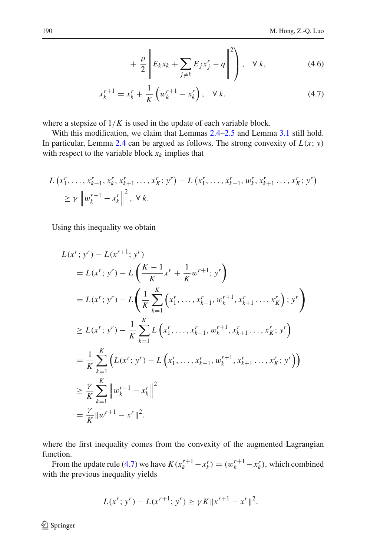<span id="page-25-0"></span>
$$
+\frac{\rho}{2}\left\|E_kx_k+\sum_{j\neq k}E_jx_j^r-q\right\|^2\right),\quad\forall\ k,\tag{4.6}
$$

$$
x_k^{r+1} = x_k^r + \frac{1}{K} \left( w_k^{r+1} - x_k^r \right), \quad \forall k. \tag{4.7}
$$

where a stepsize of  $1/K$  is used in the update of each variable block.

With this modification, we claim that Lemmas [2.4](#page-10-0)[–2.5](#page-11-1) and Lemma [3.1](#page-13-2) still hold. In particular, Lemma [2.4](#page-10-0) can be argued as follows. The strong convexity of  $L(x; y)$ with respect to the variable block  $x_k$  implies that

$$
L(x_1^r, \ldots, x_{k-1}^r, x_k^r, x_{k+1}^r, \ldots, x_K^r; y^r) - L(x_1^r, \ldots, x_{k-1}^r, w_k^r, x_{k+1}^r, \ldots, x_K^r; y^r)
$$
  
\n
$$
\ge \gamma \left\| w_k^{r+1} - x_k^r \right\|^2, \ \forall \ k.
$$

Using this inequality we obtain

$$
L(x^{r}; y^{r}) - L(x^{r+1}; y^{r})
$$
  
\n
$$
= L(x^{r}; y^{r}) - L\left(\frac{K-1}{K}x^{r} + \frac{1}{K}w^{r+1}; y^{r}\right)
$$
  
\n
$$
= L(x^{r}; y^{r}) - L\left(\frac{1}{K}\sum_{k=1}^{K}\left(x_{1}^{r}, \ldots, x_{k-1}^{r}, w_{k}^{r+1}, x_{k+1}^{r}, \ldots, x_{K}^{r}\right); y^{r}\right)
$$
  
\n
$$
\geq L(x^{r}; y^{r}) - \frac{1}{K}\sum_{k=1}^{K} L\left(x_{1}^{r}, \ldots, x_{k-1}^{r}, w_{k}^{r+1}, x_{k+1}^{r}, \ldots, x_{K}^{r}; y^{r}\right)
$$
  
\n
$$
= \frac{1}{K}\sum_{k=1}^{K}\left(L(x^{r}; y^{r}) - L\left(x_{1}^{r}, \ldots, x_{k-1}^{r}, w_{k}^{r+1}, x_{k+1}^{r}, \ldots, x_{K}^{r}; y^{r}\right)\right)
$$
  
\n
$$
\geq \frac{\gamma}{K}\sum_{k=1}^{K} \left\|w_{k}^{r+1} - x_{k}^{r}\right\|^{2}
$$
  
\n
$$
= \frac{\gamma}{K}\|w^{r+1} - x^{r}\|^{2}.
$$

where the first inequality comes from the convexity of the augmented Lagrangian function.

From the update rule [\(4.7\)](#page-25-0) we have  $K(x_k^{r+1} - x_k^r) = (w_k^{r+1} - x_k^r)$ , which combined with the previous inequality yields

$$
L(x^r; y^r) - L(x^{r+1}; y^r) \ge \gamma K \|x^{r+1} - x^r\|^2.
$$

<sup>2</sup> Springer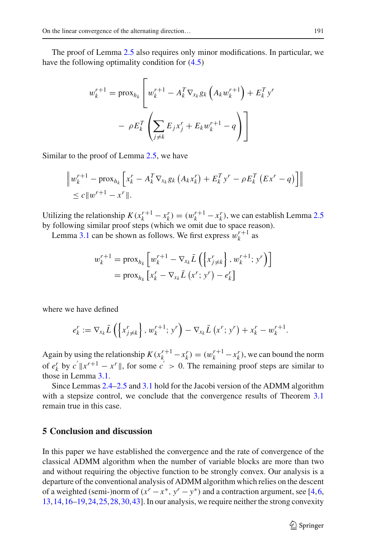The proof of Lemma [2.5](#page-11-1) also requires only minor modifications. In particular, we have the following optimality condition for [\(4.5\)](#page-24-0)

$$
w_k^{r+1} = \operatorname{prox}_{h_k} \left[ w_k^{r+1} - A_k^T \nabla_{x_k} g_k \left( A_k w_k^{r+1} \right) + E_k^T y' \right]
$$

$$
- \rho E_k^T \left( \sum_{j \neq k} E_j x_j^r + E_k w_k^{r+1} - q \right)
$$

Similar to the proof of Lemma [2.5,](#page-11-1) we have

$$
\|w_k^{r+1} - \text{prox}_{h_k} \left[ x_k^r - A_k^T \nabla_{x_k} g_k \left( A_k x_k^r \right) + E_k^T y^r - \rho E_k^T \left( E x^r - q \right) \right] \| \leq c \|w^{r+1} - x^r \|.
$$

Utilizing the relationship  $K(x_k^{r+1} - x_k^r) = (w_k^{r+1} - x_k^r)$ , we can establish Lemma [2.5](#page-11-1) by following similar proof steps (which we omit due to space reason).

Lemma [3.1](#page-13-2) can be shown as follows. We first express  $w_k^{r+1}$  as

$$
w_k^{r+1} = \operatorname{prox}_{h_k} \left[ w_k^{r+1} - \nabla_{x_k} \bar{L} \left( \left\{ x_{j \neq k}^r \right\}, w_k^{r+1}; y^r \right) \right]
$$
  
=  $\operatorname{prox}_{h_k} \left[ x_k^r - \nabla_{x_k} \bar{L} \left( x^r; y^r \right) - e_k^r \right]$ 

where we have defined

$$
e_k^r := \nabla_{x_k} \bar{L} \left( \left\{ x_{j \neq k}^r \right\}, w_k^{r+1}; y^r \right) - \nabla_{x_k} \bar{L} \left( x^r; y^r \right) + x_k^r - w_k^{r+1}.
$$

Again by using the relationship  $K(x_k^{r+1} - x_k^r) = (w_k^{r+1} - x_k^r)$ , we can bound the norm of  $e_k^r$  by  $c' ||x^{r+1} - x^r||$ , for some  $c' > 0$ . The remaining proof steps are similar to those in Lemma [3.1.](#page-13-2)

Since Lemmas [2.4–](#page-10-0)[2.5](#page-11-1) and [3.1](#page-13-2) hold for the Jacobi version of the ADMM algorithm with a stepsize control, we conclude that the convergence results of Theorem [3.1](#page-18-0) remain true in this case.

# **5 Conclusion and discussion**

In this paper we have established the convergence and the rate of convergence of the classical ADMM algorithm when the number of variable blocks are more than two and without requiring the objective function to be strongly convex. Our analysis is a departure of the conventional analysis of ADMM algorithm which relies on the descent of a weighted (semi-)norm of  $(x^r - x^*, y^r - y^*)$  and a contraction argument, see [\[4](#page-32-3),[6,](#page-32-12) [13,](#page-32-9)[14](#page-32-8)[,16](#page-33-5)[–19](#page-33-6)[,24](#page-33-24),[25,](#page-33-15)[28](#page-33-25)[,30](#page-33-17)[,43](#page-33-26)]. In our analysis, we require neither the strong convexity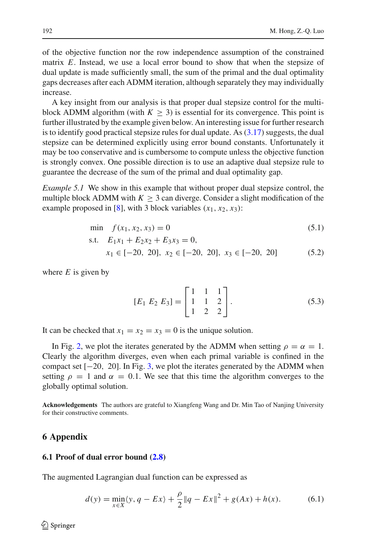of the objective function nor the row independence assumption of the constrained matrix *E*. Instead, we use a local error bound to show that when the stepsize of dual update is made sufficiently small, the sum of the primal and the dual optimality gaps decreases after each ADMM iteration, although separately they may individually increase.

A key insight from our analysis is that proper dual stepsize control for the multiblock ADMM algorithm (with  $K > 3$ ) is essential for its convergence. This point is further illustrated by the example given below. An interesting issue for further research is to identify good practical stepsize rules for dual update. As  $(3.17)$  suggests, the dual stepsize can be determined explicitly using error bound constants. Unfortunately it may be too conservative and is cumbersome to compute unless the objective function is strongly convex. One possible direction is to use an adaptive dual stepsize rule to guarantee the decrease of the sum of the primal and dual optimality gap.

*Example 5.1* We show in this example that without proper dual stepsize control, the multiple block ADMM with  $K \geq 3$  can diverge. Consider a slight modification of the example proposed in [\[8](#page-32-13)], with 3 block variables  $(x_1, x_2, x_3)$ :

$$
\min \quad f(x_1, x_2, x_3) = 0 \tag{5.1}
$$

$$
s.t. \tE_1x_1 + E_2x_2 + E_3x_3 = 0,
$$

$$
x_1 \in [-20, 20], x_2 \in [-20, 20], x_3 \in [-20, 20]
$$
 (5.2)

where  $E$  is given by

<span id="page-27-0"></span>
$$
[E_1 \ E_2 \ E_3] = \begin{bmatrix} 1 & 1 & 1 \\ 1 & 1 & 2 \\ 1 & 2 & 2 \end{bmatrix} . \tag{5.3}
$$

It can be checked that  $x_1 = x_2 = x_3 = 0$  is the unique solution.

In Fig. [2,](#page-28-0) we plot the iterates generated by the ADMM when setting  $\rho = \alpha = 1$ . Clearly the algorithm diverges, even when each primal variable is confined in the compact set  $[-20, 20]$ . In Fig. [3,](#page-28-1) we plot the iterates generated by the ADMM when setting  $\rho = 1$  and  $\alpha = 0.1$ . We see that this time the algorithm converges to the globally optimal solution.

**Acknowledgements** The authors are grateful to Xiangfeng Wang and Dr. Min Tao of Nanjing University for their constructive comments.

# **6 Appendix**

## **6.1 Proof of dual error bound [\(2.8\)](#page-9-2)**

The augmented Lagrangian dual function can be expressed as

$$
d(y) = \min_{x \in X} \langle y, q - Ex \rangle + \frac{\rho}{2} \| q - Ex \|^2 + g(Ax) + h(x). \tag{6.1}
$$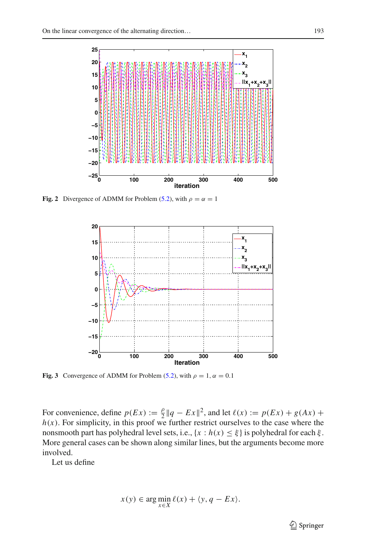

<span id="page-28-0"></span>**Fig. 2** Divergence of ADMM for Problem [\(5.2\)](#page-27-0), with  $\rho = \alpha = 1$ 



<span id="page-28-1"></span>**Fig. 3** Convergence of ADMM for Problem [\(5.2\)](#page-27-0), with  $\rho = 1$ ,  $\alpha = 0.1$ 

For convenience, define  $p(Ex) := \frac{\rho}{2} ||q - Ex||^2$ , and let  $\ell(x) := p(Ex) + g(Ax) + \ell(x)$  $h(x)$ . For simplicity, in this proof we further restrict ourselves to the case where the nonsmooth part has polyhedral level sets, i.e.,  $\{x : h(x) \leq \xi\}$  is polyhedral for each  $\xi$ . More general cases can be shown along similar lines, but the arguments become more involved.

Let us define

$$
x(y) \in \arg\min_{x \in X} \ell(x) + \langle y, q - Ex \rangle.
$$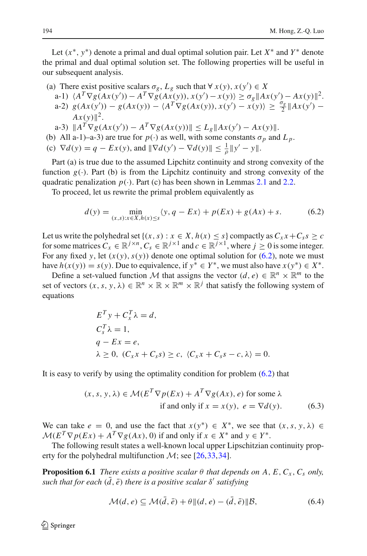Let  $(x^*, y^*)$  denote a primal and dual optimal solution pair. Let  $X^*$  and  $Y^*$  denote the primal and dual optimal solution set. The following properties will be useful in our subsequent analysis.

- (a) There exist positive scalars  $\sigma_g$ ,  $L_g$  such that  $\forall x(y), x(y') \in X$ 
	- $A^T \nabla g(Ax(y')) A^T \nabla g(Ax(y)), x(y') x(y) \ge \sigma_g \|Ax(y') Ax(y)\|^2.$  $g(Ax(y')) - g(Ax(y)) - \langle A^T \nabla g(Ax(y)), x(y') - x(y) \rangle \ge \frac{\sigma_g}{2} ||Ax(y') - x(y)||$  $Ax(y)$ <sup>2</sup>.
	- $\|A^T \nabla g(Ax(y')) A^T \nabla g(Ax(y))\| \leq L_g \|Ax(y') Ax(y)\|.$
- (b) All a-1)–a-3) are true for  $p(\cdot)$  as well, with some constants  $\sigma_p$  and  $L_p$ .
- (c)  $\nabla d(y) = q Ex(y)$ , and  $\|\nabla d(y') \nabla d(y)\| \le \frac{1}{\rho} \|y' y\|.$

Part (a) is true due to the assumed Lipchitz continuity and strong convexity of the function  $g(\cdot)$ . Part (b) is from the Lipchitz continuity and strong convexity of the quadratic penalization  $p(.)$ . Part (c) has been shown in Lemmas [2.1](#page-6-0) and [2.2.](#page-7-0)

To proceed, let us rewrite the primal problem equivalently as

<span id="page-29-0"></span>
$$
d(y) = \min_{(x,s):x \in X, h(x) \le s} \langle y, q - Ex \rangle + p(EX) + g(Ax) + s. \tag{6.2}
$$

Let us write the polyhedral set  $\{(x, s) : x \in X, h(x) \le s\}$  compactly as  $C_x x + C_s s \ge c$ for some matrices  $C_x \in \mathbb{R}^{j \times n}$ ,  $C_s \in \mathbb{R}^{j \times 1}$  and  $c \in \mathbb{R}^{j \times 1}$ , where  $j \ge 0$  is some integer. For any fixed *y*, let  $(x(y), s(y))$  denote one optimal solution for  $(6.2)$ , note we must have  $h(x(y)) = s(y)$ . Due to equivalence, if  $y^* \in Y^*$ , we must also have  $x(y^*) \in X^*$ .

Define a set-valued function *M* that assigns the vector  $(d, e) \in \mathbb{R}^n \times \mathbb{R}^m$  to the set of vectors  $(x, s, y, \lambda) \in \mathbb{R}^n \times \mathbb{R} \times \mathbb{R}^m \times \mathbb{R}^j$  that satisfy the following system of equations

$$
E^T y + C_x^T \lambda = d,
$$
  
\n
$$
C_s^T \lambda = 1,
$$
  
\n
$$
q - Ex = e,
$$
  
\n
$$
\lambda \ge 0, \ (C_x x + C_s s) \ge c, \ (C_x x + C_s s - c, \lambda) = 0.
$$

It is easy to verify by using the optimality condition for problem [\(6.2\)](#page-29-0) that

<span id="page-29-2"></span>
$$
(x, s, y, \lambda) \in \mathcal{M}(E^T \nabla p(Ex) + A^T \nabla g(Ax), e) \text{ for some } \lambda
$$
  
if and only if  $x = x(y)$ ,  $e = \nabla d(y)$ . (6.3)

We can take  $e = 0$ , and use the fact that  $x(y^*) \in X^*$ , we see that  $(x, s, y, \lambda) \in$  $M(E^T \nabla p(Ex) + A^T \nabla g(Ax), 0)$  if and only if  $x \in X^*$  and  $y \in Y^*$ .

<span id="page-29-1"></span>The following result states a well-known local upper Lipschitzian continuity property for the polyhedral multifunction  $\mathcal{M}$ ; see [\[26](#page-33-23)[,33](#page-33-10),[34\]](#page-33-8).

**Proposition 6.1** *There exists a positive scalar*  $\theta$  *that depends on A, E, C<sub>x</sub>, C<sub>s</sub> only, such that for each*  $(d, \bar{e})$  *there is a positive scalar*  $\delta'$  *satisfying* 

$$
\mathcal{M}(d,e) \subseteq \mathcal{M}(\bar{d},\bar{e}) + \theta ||(d,e) - (\bar{d},\bar{e})||\mathcal{B},\tag{6.4}
$$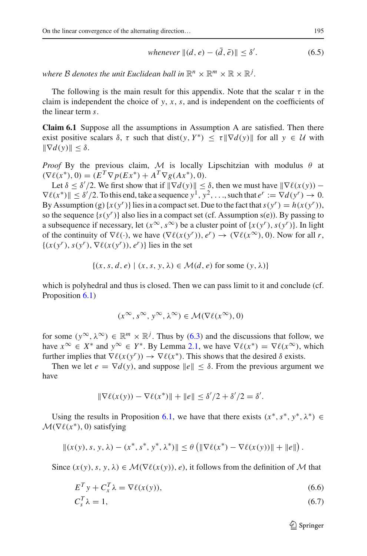*whenever* 
$$
||(d, e) - (\bar{d}, \bar{e})|| \le \delta'
$$
. (6.5)

*where B denotes the unit Euclidean ball in*  $\mathbb{R}^n \times \mathbb{R}^m \times \mathbb{R} \times \mathbb{R}^j$ .

The following is the main result for this appendix. Note that the scalar  $\tau$  in the claim is independent the choice of  $y$ ,  $x$ ,  $s$ , and is independent on the coefficients of the linear term *s*.

**Claim 6.1** Suppose all the assumptions in Assumption A are satisfied. Then there exist positive scalars  $\delta$ ,  $\tau$  such that dist( $y, Y^*$ )  $\leq \tau || \nabla d(y) ||$  for all  $y \in \mathcal{U}$  with  $\|\nabla d(v)\| < \delta$ .

*Proof* By the previous claim, *M* is locally Lipschitzian with modulus  $\theta$  at  $(\nabla \ell(x^*), 0) = (E^T \nabla p(Ex^*) + A^T \nabla g(Ax^*), 0).$ 

Let  $\delta \leq \delta'/2$ . We first show that if  $\|\nabla d(y)\| \leq \delta$ , then we must have  $\|\nabla \ell(x(y)) \nabla \ell(x^*) \le \delta'/2$ . To this end, take a sequence  $y^1, y^2, \ldots$ , such that  $e^r := \nabla d(y^r) \to 0$ . By Assumption (g)  $\{x(y^r)\}\$ lies in a compact set. Due to the fact that  $s(y^r) = h(x(y^r))$ , so the sequence  $\{s(y^r)\}\$ also lies in a compact set (cf. Assumption s(e)). By passing to a subsequence if necessary, let  $(x^{\infty}, s^{\infty})$  be a cluster point of  $\{x(y^r), s(y^r)\}\$ . In light of the continuity of  $\nabla \ell(\cdot)$ , we have  $(\nabla \ell(x(y^r)), e^r) \to (\nabla \ell(x^\infty), 0)$ . Now for all *r*,  $\{(x(y^r), s(y^r), \nabla \ell(x(y^r)), e^r)\}\$ lies in the set

$$
\{(x, s, d, e) \mid (x, s, y, \lambda) \in \mathcal{M}(d, e) \text{ for some } (y, \lambda)\}\
$$

which is polyhedral and thus is closed. Then we can pass limit to it and conclude (cf. Proposition [6.1\)](#page-29-1)

$$
(x^{\infty}, s^{\infty}, y^{\infty}, \lambda^{\infty}) \in \mathcal{M}(\nabla \ell(x^{\infty}), 0)
$$

for some  $(y^{\infty}, \lambda^{\infty}) \in \mathbb{R}^m \times \mathbb{R}^j$ . Thus by [\(6.3\)](#page-29-2) and the discussions that follow, we have  $x^{\infty} \in X^*$  and  $y^{\infty} \in Y^*$ . By Lemma [2.1,](#page-6-0) we have  $\nabla \ell(x^*) = \nabla \ell(x^{\infty})$ , which further implies that  $\nabla \ell(x(y^r)) \to \nabla \ell(x^*)$ . This shows that the desired  $\delta$  exists.

Then we let  $e = \nabla d(y)$ , and suppose  $||e|| < \delta$ . From the previous argument we have

$$
\|\nabla \ell(x(y)) - \nabla \ell(x^*)\| + \|e\| \le \delta'/2 + \delta'/2 = \delta'.
$$

Using the results in Proposition [6.1,](#page-29-1) we have that there exists  $(x^*, s^*, y^*, \lambda^*) \in$  $M(\nabla \ell(x^*), 0)$  satisfying

$$
||(x(y), s, y, \lambda) - (x^*, s^*, y^*, \lambda^*)|| \leq \theta \left( \|\nabla \ell(x^*) - \nabla \ell(x(y))\| + \|e\| \right).
$$

Since  $(x(y), s, y, \lambda) \in \mathcal{M}(\nabla \ell(x(y)), e)$ , it follows from the definition of  $\mathcal M$  that

$$
E^T y + C_x^T \lambda = \nabla \ell(x(y)),\tag{6.6}
$$

$$
C_s^T \lambda = 1,\tag{6.7}
$$

<span id="page-30-1"></span><span id="page-30-0"></span> $\mathcal{D}$  Springer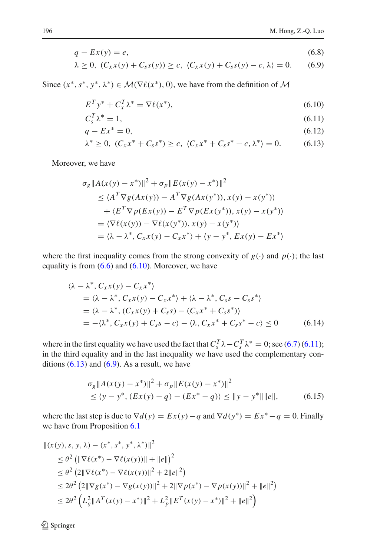$$
q - Ex(y) = e,\t\t(6.8)
$$

$$
\lambda \geq 0, \ (C_x x(y) + C_s s(y)) \geq c, \ (C_x x(y) + C_s s(y) - c, \lambda) = 0. \tag{6.9}
$$

Since  $(x^*, s^*, y^*, \lambda^*) \in \mathcal{M}(\nabla \ell(x^*), 0)$ , we have from the definition of  $\mathcal M$ 

<span id="page-31-3"></span><span id="page-31-1"></span><span id="page-31-0"></span>
$$
E^T y^* + C_x^T \lambda^* = \nabla \ell(x^*),\tag{6.10}
$$

$$
C_s^T \lambda^* = 1,\tag{6.11}
$$

$$
q - Ex^* = 0,\tag{6.12}
$$

<span id="page-31-2"></span>
$$
\lambda^* \ge 0, \ (C_x x^* + C_s s^*) \ge c, \ (C_x x^* + C_s s^* - c, \lambda^*) = 0. \tag{6.13}
$$

Moreover, we have

$$
\sigma_g \|A(x(y) - x^*)\|^2 + \sigma_p \|E(x(y) - x^*)\|^2
$$
  
\n
$$
\leq \langle A^T \nabla g(Ax(y)) - A^T \nabla g(Ax(y^*)), x(y) - x(y^*) \rangle
$$
  
\n
$$
+ \langle E^T \nabla p(Ex(y)) - E^T \nabla p(Ex(y^*)), x(y) - x(y^*) \rangle
$$
  
\n
$$
= \langle \nabla \ell(x(y)) - \nabla \ell(x(y^*)), x(y) - x(y^*) \rangle
$$
  
\n
$$
= \langle \lambda - \lambda^*, C_x x(y) - C_x x^* \rangle + \langle y - y^*, Ex(y) - Ex^* \rangle
$$

where the first inequality comes from the strong convexity of  $g(\cdot)$  and  $p(\cdot)$ ; the last equality is from  $(6.6)$  and  $(6.10)$ . Moreover, we have

$$
\langle \lambda - \lambda^*, C_x x(y) - C_x x^* \rangle
$$
  
=  $\langle \lambda - \lambda^*, C_x x(y) - C_x x^* \rangle + \langle \lambda - \lambda^*, C_s s - C_s s^* \rangle$   
=  $\langle \lambda - \lambda^*, (C_x x(y) + C_s s) - (C_x x^* + C_s s^*) \rangle$   
=  $-\langle \lambda^*, C_x x(y) + C_s s - c \rangle - \langle \lambda, C_x x^* + C_s s^* - c \rangle \le 0$  (6.14)

where in the first equality we have used the fact that  $C_s^T \lambda - C_s^T \lambda^* = 0$ ; see [\(6.7\)](#page-30-1) [\(6.11\)](#page-31-1); in the third equality and in the last inequality we have used the complementary conditions  $(6.13)$  and  $(6.9)$ . As a result, we have

$$
\sigma_g \|A(x(y) - x^*)\|^2 + \sigma_p \|E(x(y) - x^*)\|^2
$$
  
\n
$$
\leq \langle y - y^*, (Ex(y) - q) - (Ex^* - q) \rangle \leq \|y - y^*\| \|e\|,
$$
\n(6.15)

where the last step is due to  $\nabla d(y) = Ex(y) - q$  and  $\nabla d(y^*) = Ex^* - q = 0$ . Finally we have from Proposition [6.1](#page-29-1)

$$
\begin{aligned} ||(x(y), s, y, \lambda) - (x^*, s^*, y^*, \lambda^*)||^2 \\ &\leq \theta^2 \left( \|\nabla \ell(x^*) - \nabla \ell(x(y))\| + \|e\| \right)^2 \\ &\leq \theta^2 \left( 2\|\nabla \ell(x^*) - \nabla \ell(x(y))\|^2 + 2\|e\|^2 \right) \\ &\leq 2\theta^2 \left( 2\|\nabla g(x^*) - \nabla g(x(y))\|^2 + 2\|\nabla p(x^*) - \nabla p(x(y))\|^2 + \|e\|^2 \right) \\ &\leq 2\theta^2 \left( L_g^2 \|A^T(x(y) - x^*)\|^2 + L_p^2 \|E^T(x(y) - x^*)\|^2 + \|e\|^2 \right) \end{aligned}
$$

<sup>2</sup> Springer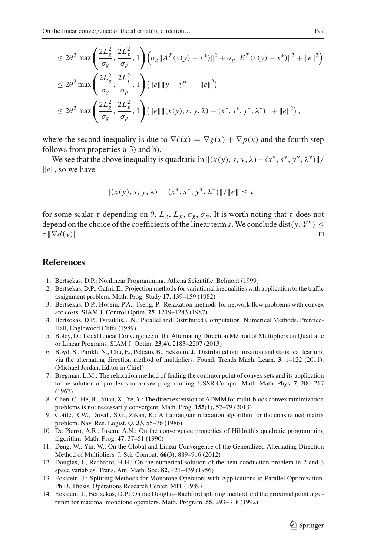$$
\leq 2\theta^2 \max \left( \frac{2L_g^2}{\sigma_g}, \frac{2L_p^2}{\sigma_p}, 1 \right) \left( \sigma_g \| A^T(x(y) - x^*) \|^2 + \sigma_p \| E^T(x(y) - x^*) \|^2 + \| e \|^2 \right)
$$
  
\n
$$
\leq 2\theta^2 \max \left( \frac{2L_g^2}{\sigma_g}, \frac{2L_p^2}{\sigma_p}, 1 \right) \left( \| e \|\|y - y^*\| + \| e \|^2 \right)
$$
  
\n
$$
\leq 2\theta^2 \max \left( \frac{2L_g^2}{\sigma_g}, \frac{2L_p^2}{\sigma_p}, 1 \right) \left( \| e \|\| (x(y), s, y, \lambda) - (x^*, s^*, y^*, \lambda^*) \|\| + \| e \|^2 \right),
$$

where the second inequality is due to  $\nabla \ell(x) = \nabla g(x) + \nabla p(x)$  and the fourth step follows from properties a-3) and b).

We see that the above inequality is quadratic in  $\|(x(y), s, y, \lambda) - (x^*, s^*, y^*, \lambda^*)\|$  $\|e\|$ , so we have

$$
||(x(y), s, y, \lambda) - (x^*, s^*, y^*, \lambda^*)||/||e|| \leq \tau
$$

for some scalar  $\tau$  depending on  $\theta$ ,  $L_g$ ,  $L_p$ ,  $\sigma_g$ ,  $\sigma_p$ . It is worth noting that  $\tau$  does not depend on the choice of the coefficients of the linear term *s*. We conclude dist(*y*,  $Y^*$ )  $\leq \tau ||\nabla d(y)||$ .  $\tau \|\nabla d(y)\|$ .

# **References**

- <span id="page-32-4"></span>1. Bertsekas, D.P.: Nonlinear Programming. Athena Scientific, Belmont (1999)
- <span id="page-32-5"></span>2. Bertsekas, D.P., Gafni, E.: Projection methods for variational inequalities with application to the traffic assignment problem. Math. Prog. Study **17**, 139–159 (1982)
- <span id="page-32-0"></span>3. Bertsekas, D.P., Hosein, P.A., Tseng, P.: Relaxation methods for network flow problems with convex arc costs. SIAM J. Control Optim. **25**, 1219–1243 (1987)
- <span id="page-32-3"></span>4. Bertsekas, D.P., Tsitsiklis, J.N.: Parallel and Distributed Computation: Numerical Methods. Prentice-Hall, Englewood Cliffs (1989)
- <span id="page-32-10"></span>5. Boley, D.: Local Linear Convergence of the Alternating Direction Method of Multipliers on Quadratic or Linear Programs. SIAM J. Optim. **23**(4), 2183–2207 (2013)
- <span id="page-32-12"></span>6. Boyd, S., Parikh, N., Chu, E., Peleato, B., Eckstein, J.: Distributed optimization and statistical learning via the alternating direction method of multipliers. Found. Trends Mach. Learn. **3**, 1–122 (2011). (Michael Jordan, Editor in Chief)
- <span id="page-32-1"></span>7. Bregman, L.M.: The relaxation method of finding the common point of convex sets and its application to the solution of problems in convex programming. USSR Comput. Math. Math. Phys. **7**, 200–217 (1967)
- <span id="page-32-13"></span>8. Chen, C., He, B. , Yuan, X., Ye, Y.: The direct extension of ADMM for multi-block convex minimization problems is not necessarily convergent. Math. Prog. **155**(1), 57–79 (2013)
- <span id="page-32-2"></span>9. Cottle, R.W., Duvall, S.G., Zikan, K.: A Lagrangian relaxation algorithm for the constrained matrix problem. Nav. Res. Logist. Q. **33**, 55–76 (1986)
- <span id="page-32-6"></span>10. De Pierro, A.R., Iusem, A.N.: On the convergence properties of Hildreth's quadratic programming algorithm. Math. Prog. **47**, 37–51 (1990)
- <span id="page-32-11"></span>11. Deng, W., Yin, W.: On the Global and Linear Convergence of the Generalized Alternating Direction Method of Multipliers. J. Sci. Comput. **66**(3), 889–916 (2012)
- <span id="page-32-7"></span>12. Douglas, J., Rachford, H.H.: On the numerical solution of the heat conduction problem in 2 and 3 space variables. Trans. Am. Math. Soc. **82**, 421–439 (1956)
- <span id="page-32-9"></span>13. Eckstein, J.: Splitting Methods for Monotone Operators with Applications to Parallel Optimization. Ph.D. Thesis, Operations Research Center, MIT (1989)
- <span id="page-32-8"></span>14. Eckstein, J., Bertsekas, D.P.: On the Douglas–Rachford splitting method and the proximal point algorithm for maximal monotone operators. Math. Program. **55**, 293–318 (1992)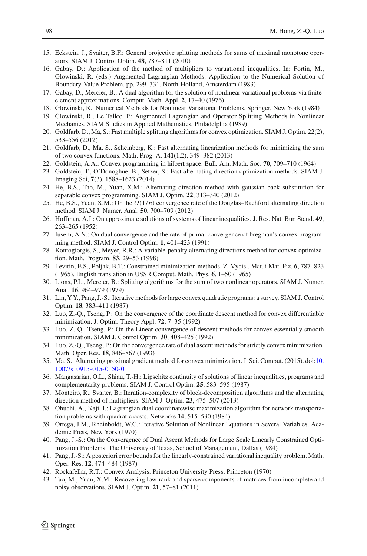- <span id="page-33-7"></span>15. Eckstein, J., Svaiter, B.F.: General projective splitting methods for sums of maximal monotone operators. SIAM J. Control Optim. **48**, 787–811 (2010)
- <span id="page-33-5"></span>16. Gabay, D.: Application of the method of multipliers to varuational inequalities. In: Fortin, M., Glowinski, R. (eds.) Augmented Lagrangian Methods: Application to the Numerical Solution of Boundary-Value Problem, pp. 299–331. North-Holland, Amsterdam (1983)
- 17. Gabay, D., Mercier, B.: A dual algorithm for the solution of nonlinear variational problems via finiteelement approximations. Comput. Math. Appl. **2**, 17–40 (1976)
- 18. Glowinski, R.: Numerical Methods for Nonlinear Variational Problems. Springer, New York (1984)
- <span id="page-33-6"></span>19. Glowinski, R., Le Tallec, P.: Augmented Lagrangian and Operator Splitting Methods in Nonlinear Mechanics. SIAM Studies in Applied Mathematics, Philadelphia (1989)
- <span id="page-33-13"></span>20. Goldfarb, D., Ma, S.: Fast multiple splitting algorithms for convex optimization. SIAM J. Optim. 22(2), 533–556 (2012)
- <span id="page-33-14"></span>21. Goldfarb, D., Ma, S., Scheinberg, K.: Fast alternating linearization methods for minimizing the sum of two convex functions. Math. Prog. A. **141**(1,2), 349–382 (2013)
- <span id="page-33-3"></span>22. Goldstein, A.A.: Convex programming in hilbert space. Bull. Am. Math. Soc. **70**, 709–710 (1964)
- <span id="page-33-18"></span>23. Goldstein, T., O'Donoghue, B., Setzer, S.: Fast alternating direction optimization methods. SIAM J. Imaging Sci, **7**(3), 1588–1623 (2014)
- <span id="page-33-24"></span>24. He, B.S., Tao, M., Yuan, X.M.: Alternating direction method with gaussian back substitution for separable convex programming. SIAM J. Optim. **22**, 313–340 (2012)
- <span id="page-33-15"></span>25. He, B.S., Yuan, X.M.: On the *O*(1/*n*) convergence rate of the Douglas–Rachford alternating direction method. SIAM J. Numer. Anal. **50**, 700–709 (2012)
- <span id="page-33-23"></span>26. Hoffman, A.J.: On approximate solutions of systems of linear inequalities. J. Res. Nat. Bur. Stand. **49**, 263–265 (1952)
- <span id="page-33-11"></span>27. Iusem, A.N.: On dual convergence and the rate of primal convergence of bregman's convex programming method. SIAM J. Control Optim. **1**, 401–423 (1991)
- <span id="page-33-25"></span>28. Kontogiorgis, S., Meyer, R.R.: A variable-penalty alternating directions method for convex optimization. Math. Program. **83**, 29–53 (1998)
- <span id="page-33-4"></span>29. Levitin, E.S., Poljak, B.T.: Constrained minimization methods. Z. Vycisl. Mat. i Mat. Fiz. **6**, 787–823 (1965). English translation in USSR Comput. Math. Phys. **6**, 1–50 (1965)
- <span id="page-33-17"></span>30. Lions, P.L., Mercier, B.: Splitting algorithms for the sum of two nonlinear operators. SIAM J. Numer. Anal. **16**, 964–979 (1979)
- <span id="page-33-0"></span>31. Lin, Y.Y., Pang, J.-S.: Iterative methods for large convex quadratic programs: a survey. SIAM J. Control Optim. **18**, 383–411 (1987)
- <span id="page-33-9"></span>32. Luo, Z.-Q., Tseng, P.: On the convergence of the coordinate descent method for convex differentiable minimization. J. Optim. Theory Appl. **72**, 7–35 (1992)
- <span id="page-33-10"></span>33. Luo, Z.-Q., Tseng, P.: On the Linear convergence of descent methods for convex essentially smooth minimization. SIAM J. Control Optim. **30**, 408–425 (1992)
- <span id="page-33-8"></span>34. Luo, Z.-Q., Tseng, P.: On the convergence rate of dual ascent methods for strictly convex minimization. Math. Oper. Res. **18**, 846–867 (1993)
- <span id="page-33-19"></span>35. Ma, S.: Alternating proximal gradient method for convex minimization. J. Sci. Comput. (2015). doi[:10.](http://dx.doi.org/10.1007/s10915-015-0150-0) [1007/s10915-015-0150-0](http://dx.doi.org/10.1007/s10915-015-0150-0)
- <span id="page-33-22"></span>36. Mangasarian, O.L., Shiau, T.-H.: Lipschitz continuity of solutions of linear inequalities, programs and complementarity problems. SIAM J. Control Optim. **25**, 583–595 (1987)
- <span id="page-33-16"></span>37. Monteiro, R., Svaiter, B.: Iteration-complexity of block-decomposition algorithms and the alternating direction method of multipliers. SIAM J. Optim. **23**, 475–507 (2013)
- <span id="page-33-1"></span>38. Ohuchi, A., Kaji, I.: Lagrangian dual coordinatewise maximization algorithm for network transportation problems with quadratic costs. Networks **14**, 515–530 (1984)
- <span id="page-33-12"></span>39. Ortega, J.M., Rheinboldt, W.C.: Iterative Solution of Nonlinear Equations in Several Variables. Academic Press, New York (1970)
- <span id="page-33-2"></span>40. Pang, J.-S.: On the Convergence of Dual Ascent Methods for Large Scale Linearly Constrained Optimization Problems. The University of Texas, School of Management, Dallas (1984)
- <span id="page-33-21"></span>41. Pang, J.-S.: A posteriori error bounds for the linearly-constrained variational inequality problem. Math. Oper. Res. **12**, 474–484 (1987)
- <span id="page-33-20"></span>42. Rockafellar, R.T.: Convex Analysis. Princeton University Press, Princeton (1970)
- <span id="page-33-26"></span>43. Tao, M., Yuan, X.M.: Recovering low-rank and sparse components of matrices from incomplete and noisy observations. SIAM J. Optim. **21**, 57–81 (2011)